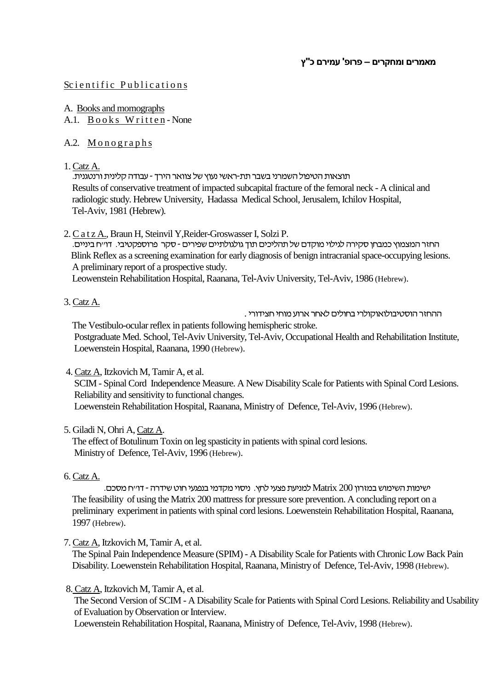## Scientific Publications

- A. Books and momographs
- A.1. Books Written-None

# A.2. Monographs

1. Catz A.

תוצאות הטיפול השמרני בשבר תת-ראשי נעוץ של צוואר הירך - עבודה קלינית ורנטגנית. Results of conservative treatment of impacted subcapital fracture of the femoral neck - A clinical and radiologic study. Hebrew University, Hadassa Medical School, Jerusalem, Ichilov Hospital, Tel-Aviv, 1981 (Hebrew).

2. C a t z A., Braun H, Steinvil Y,Reider-Groswasser I, Solzi P.

החזר המצמוץ כמבחן סקירה לגילוי מוקדם של תהליכים תוך גולגולתיים שפירים -סקר פרוספקטיבי. דו"ח ביניים. Blink Reflex as a screening examination for early diagnosis of benign intracranial space-occupying lesions. A preliminary report of a prospective study.

Leowenstein Rehabilitation Hospital, Raanana, Tel-Aviv University, Tel-Aviv, 1986 (Hebrew).

3. Catz A.

ההחזר הוסטיבולואוקולרי בחולים לאחר ארוע מוחי חצידורי .

 The Vestibulo-ocular reflex in patients following hemispheric stroke. Postgraduate Med. School, Tel-Aviv University, Tel-Aviv, Occupational Health and Rehabilitation Institute, Loewenstein Hospital, Raanana, 1990 (Hebrew).

4. Catz A, Itzkovich M, Tamir A, et al.

 SCIM - Spinal Cord Independence Measure. A New Disability Scale for Patients with Spinal Cord Lesions. Reliability and sensitivity to functional changes.

Loewenstein Rehabilitation Hospital, Raanana, Ministry of Defence, Tel-Aviv, 1996 (Hebrew).

# 5. Giladi N, Ohri A, Catz A.

 The effect of Botulinum Toxin on leg spasticity in patients with spinal cord lesions. Ministry of Defence, Tel-Aviv, 1996 (Hebrew).

6. Catz A.

 ישימות השימוש במזרון 200 Matrixלמניעת פצעי לחץ. ניסוי מקדמי בנפגעי חוט שידרה - דו"ח מסכם. The feasibility of using the Matrix 200 mattress for pressure sore prevention. A concluding report on a preliminary experiment in patients with spinal cord lesions. Loewenstein Rehabilitation Hospital, Raanana, 1997 (Hebrew).

7. Catz A, Itzkovich M, Tamir A, et al.

 The Spinal Pain Independence Measure (SPIM) - A Disability Scale for Patients with Chronic Low Back Pain Disability. Loewenstein Rehabilitation Hospital, Raanana, Ministry of Defence, Tel-Aviv, 1998 (Hebrew).

8. Catz A, Itzkovich M, Tamir A, et al.

 The Second Version of SCIM - A Disability Scale for Patients with Spinal Cord Lesions. Reliability and Usability of Evaluation by Observation or Interview.

Loewenstein Rehabilitation Hospital, Raanana, Ministry of Defence, Tel-Aviv, 1998 (Hebrew).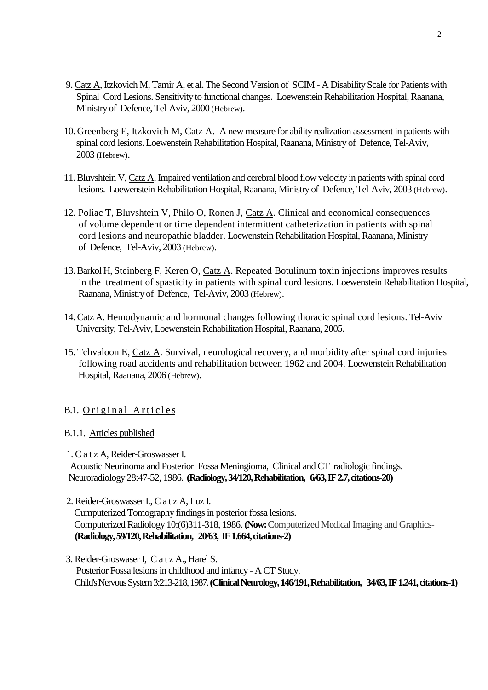- 9. Catz A, Itzkovich M, Tamir A, et al. The Second Version of SCIM A Disability Scale for Patients with Spinal Cord Lesions. Sensitivity to functional changes. Loewenstein Rehabilitation Hospital, Raanana, Ministry of Defence, Tel-Aviv, 2000 (Hebrew).
- 10. Greenberg E, Itzkovich M, Catz A. A new measure for ability realization assessment in patients with spinal cord lesions. Loewenstein Rehabilitation Hospital, Raanana, Ministry of Defence, Tel-Aviv, 2003 (Hebrew).
- 11. Bluvshtein V, Catz A. Impaired ventilation and cerebral blood flow velocity in patients with spinal cord lesions. Loewenstein Rehabilitation Hospital, Raanana, Ministry of Defence, Tel-Aviv, 2003 (Hebrew).
- 12. Poliac T, Bluvshtein V, Philo O, Ronen J, Catz A. Clinical and economical consequences of volume dependent or time dependent intermittent catheterization in patients with spinal cord lesions and neuropathic bladder. Loewenstein Rehabilitation Hospital, Raanana, Ministry of Defence, Tel-Aviv, 2003 (Hebrew).
- 13. Barkol H, Steinberg F, Keren O, Catz A. Repeated Botulinum toxin injections improves results in the treatment of spasticity in patients with spinal cord lesions. Loewenstein Rehabilitation Hospital, Raanana, Ministry of Defence, Tel-Aviv, 2003 (Hebrew).
- 14. Catz A. Hemodynamic and hormonal changes following thoracic spinal cord lesions. Tel-Aviv University, Tel-Aviv, Loewenstein Rehabilitation Hospital, Raanana, 2005.
- 15. Tchvaloon E, Catz A. Survival, neurological recovery, and morbidity after spinal cord injuries following road accidents and rehabilitation between 1962 and 2004. Loewenstein Rehabilitation Hospital, Raanana, 2006 (Hebrew).

# B.1. Original Articles

### B.1.1. Articles published

1. C a t z A, Reider-Groswasser I.

 Acoustic Neurinoma and Posterior Fossa Meningioma, Clinical and CT radiologic findings. Neuroradiology 28:47-52, 1986. **(Radiology, 34/120, Rehabilitation, 6/63, IF 2.7, citations-20)**

2. Reider-Groswasser I., C a t z A, Luz I.

 Cumputerized Tomography findings in posterior fossa lesions. Computerized Radiology 10:(6)311-318, 1986. **(Now:** Computerized Medical Imaging and Graphics-  **(Radiology, 59/120, Rehabilitation, 20/63, IF 1.664, citations-2)**

3. Reider-Groswaser I, Catz A., Harel S. Posterior Fossa lesions in childhood and infancy - A CT Study. Child's Nervous System 3:213-218, 1987.**(Clinical Neurology, 146/191, Rehabilitation, 34/63, IF 1.241, citations-1)**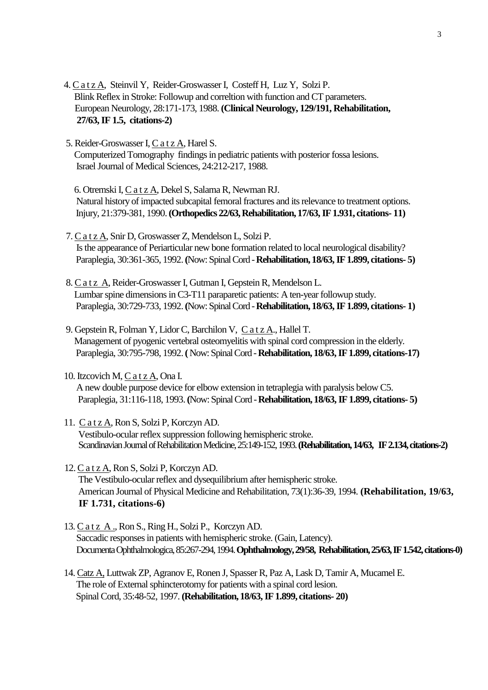- 4. C a t z A, Steinvil Y, Reider-Groswasser I, Costeff H, Luz Y, Solzi P. Blink Reflex in Stroke: Followup and correltion with function and CT parameters. European Neurology, 28:171-173, 1988. **(Clinical Neurology, 129/191, Rehabilitation, 27/63, IF 1.5, citations-2)**
- 5. Reider-Groswasser I, C a t z A, Harel S. Computerized Tomography findings in pediatric patients with posterior fossa lesions. Israel Journal of Medical Sciences, 24:212-217, 1988.

 6. Otremski I, C a t z A, Dekel S, Salama R, Newman RJ. Natural history of impacted subcapital femoral fractures and its relevance to treatment options. Injury, 21:379-381, 1990.**(Orthopedics 22/63, Rehabilitation, 17/63, IF 1.931, citations- 11)**

- 7. C a t z A, Snir D, Groswasser Z, Mendelson L, Solzi P. Is the appearance of Periarticular new bone formation related to local neurological disability? Paraplegia, 30:361-365, 1992.**(**Now: Spinal Cord -**Rehabilitation, 18/63, IF 1.899, citations- 5)**
- 8. C a t z A, Reider-Groswasser I, Gutman I, Gepstein R, Mendelson L. Lumbar spine dimensions in C3-T11 paraparetic patients: A ten-year followup study. Paraplegia, 30:729-733, 1992.**(**Now: Spinal Cord -**Rehabilitation, 18/63, IF 1.899, citations- 1)**
- 9. Gepstein R, Folman Y, Lidor C, Barchilon V, C a t z A., Hallel T. Management of pyogenic vertebral osteomyelitis with spinal cord compression in the elderly. Paraplegia, 30:795-798, 1992.**(** Now: Spinal Cord -**Rehabilitation, 18/63, IF 1.899, citations-17)**
- 10. Itzcovich M, C a t z A, Ona I. A new double purpose device for elbow extension in tetraplegia with paralysis below C5. Paraplegia, 31:116-118, 1993.**(**Now: Spinal Cord -**Rehabilitation, 18/63, IF 1.899, citations- 5)**
- 11. C a t z A, Ron S, Solzi P, Korczyn AD. Vestibulo-ocular reflex suppression following hemispheric stroke. Scandinavian Journal of Rehabilitation Medicine, 25:149-152, 1993.**(Rehabilitation, 14/63, IF 2.134, citations-2)**
- 12. C a t z A, Ron S, Solzi P, Korczyn AD. The Vestibulo-ocular reflex and dysequilibrium after hemispheric stroke. American Journal of Physical Medicine and Rehabilitation, 73(1):36-39, 1994. **(Rehabilitation, 19/63, IF 1.731, citations-6)**
- 13. C a t z A ., Ron S., Ring H., Solzi P., Korczyn AD. Saccadic responses in patients with hemispheric stroke. (Gain, Latency). Documenta Ophthalmologica, 85:267-294, 1994.**Ophthalmology, 29/58, Rehabilitation, 25/63, IF 1.542, citations-0)**
- 14. Catz A, Luttwak ZP, Agranov E, Ronen J, Spasser R, Paz A, Lask D, Tamir A, Mucamel E. The role of External sphincterotomy for patients with a spinal cord lesion. Spinal Cord, 35:48-52, 1997. **(Rehabilitation, 18/63, IF 1.899, citations- 20)**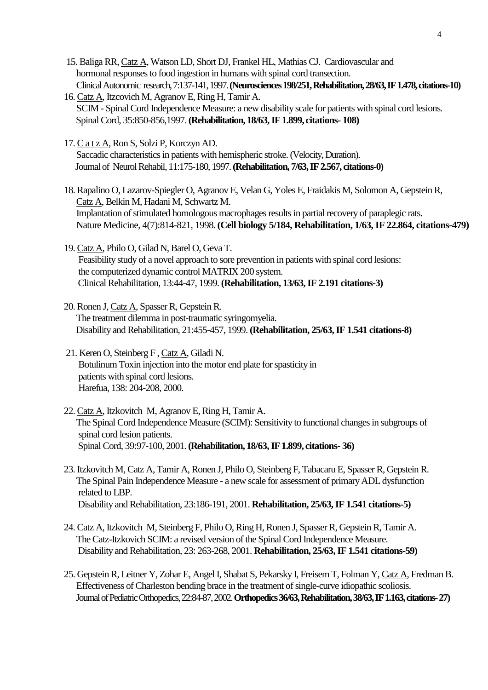- 15. Baliga RR, Catz A, Watson LD, Short DJ, Frankel HL, Mathias CJ. Cardiovascular and hormonal responses to food ingestion in humans with spinal cord transection. Clinical Autonomic research, 7:137-141, 1997.**(Neurosciences 198/251, Rehabilitation, 28/63, IF 1.478, citations-10)**
- 16. Catz A, Itzcovich M, Agranov E, Ring H, Tamir A. SCIM - Spinal Cord Independence Measure: a new disability scale for patients with spinal cord lesions. Spinal Cord, 35:850-856,1997.**(Rehabilitation, 18/63, IF 1.899, citations- 108)**
- 17. C a t z A, Ron S, Solzi P, Korczyn AD. Saccadic characteristics in patients with hemispheric stroke.(Velocity, Duration). Journal of Neurol Rehabil, 11:175-180, 1997. **(Rehabilitation, 7/63, IF 2.567, citations-0)**

18. Rapalino O, Lazarov-Spiegler O, Agranov E, Velan G, Yoles E, Fraidakis M, Solomon A, Gepstein R, Catz A, Belkin M, Hadani M, Schwartz M. Implantation of stimulated homologous macrophages results in partial recovery of paraplegic rats. Nature Medicine, 4(7):814-821, 1998.**(Cell biology 5/184, Rehabilitation, 1/63, IF 22.864, citations-479)**

- 19. Catz A, Philo O, Gilad N, Barel O, Geva T. Feasibility study of a novel approach to sore prevention in patients with spinal cord lesions: the computerized dynamic control MATRIX 200 system. Clinical Rehabilitation, 13:44-47, 1999. **(Rehabilitation, 13/63, IF 2.191 citations-3)**
- 20. Ronen J, Catz A, Spasser R, Gepstein R. The treatment dilemma in post-traumatic syringomyelia. Disability and Rehabilitation, 21:455-457, 1999. **(Rehabilitation, 25/63, IF 1.541 citations-8)**
- 21. Keren O, Steinberg F , Catz A, Giladi N. Botulinum Toxin injection into the motor end plate for spasticity in patients with spinal cord lesions. Harefua, 138: 204-208, 2000.
- 22. Catz A, Itzkovitch M, Agranov E, Ring H, Tamir A. The Spinal Cord Independence Measure (SCIM): Sensitivity to functional changes in subgroups of spinal cord lesion patients. Spinal Cord, 39:97-100, 2001.**(Rehabilitation, 18/63, IF 1.899, citations- 36)**
- 23. Itzkovitch M, Catz A, Tamir A, Ronen J, Philo O, Steinberg F, Tabacaru E, Spasser R, Gepstein R. The Spinal Pain Independence Measure - a new scale for assessment of primary ADL dysfunction related to LBP. Disability and Rehabilitation, 23:186-191, 2001. **Rehabilitation, 25/63, IF 1.541 citations-5)**
- 24. Catz A, Itzkovitch M, Steinberg F, Philo O, Ring H, Ronen J, Spasser R, Gepstein R, Tamir A. The Catz-Itzkovich SCIM: a revised version of the Spinal Cord Independence Measure. Disability and Rehabilitation, 23: 263-268, 2001. **Rehabilitation, 25/63, IF 1.541 citations-59)**
- 25. Gepstein R, Leitner Y, Zohar E, Angel I, Shabat S, Pekarsky I, Freisem T, Folman Y, Catz A, Fredman B. Effectiveness of Charleston bending brace in the treatment of single-curve idiopathic scoliosis. Journal of Pediatric Orthopedics, 22:84-87, 2002.**Orthopedics 36/63, Rehabilitation, 38/63, IF 1.163, citations-27)**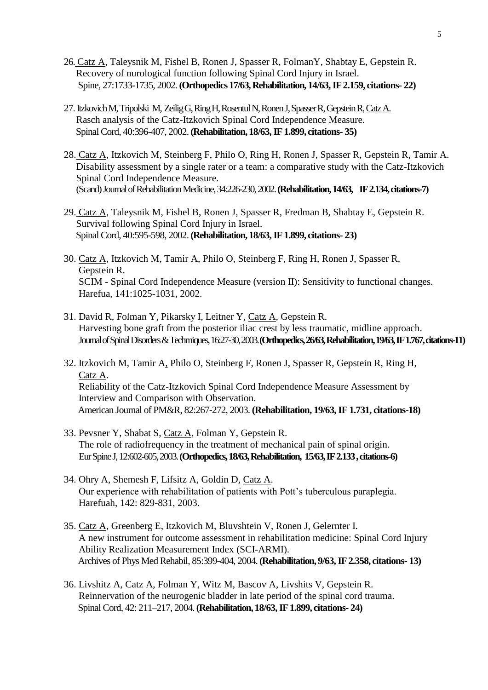- 26. Catz A, Taleysnik M, Fishel B, Ronen J, Spasser R, FolmanY, Shabtay E, Gepstein R. Recovery of nurological function following Spinal Cord Injury in Israel. Spine, 27:1733-1735, 2002.**(Orthopedics 17/63, Rehabilitation, 14/63, IF 2.159, citations- 22)**
- 27. Itzkovich M, Tripolski M, Zeilig G, Ring H, Rosentul N, Ronen J, Spasser R, Gepstein R, Catz A. Rasch analysis of the Catz-Itzkovich Spinal Cord Independence Measure. Spinal Cord, 40:396-407, 2002.**(Rehabilitation, 18/63, IF 1.899, citations- 35)**
- 28. Catz A, Itzkovich M, Steinberg F, Philo O, Ring H, Ronen J, Spasser R, Gepstein R, Tamir A. Disability assessment by a single rater or a team: a comparative study with the Catz-Itzkovich Spinal Cord Independence Measure. (Scand) Journal of Rehabilitation Medicine, 34:226-230, 2002.**(Rehabilitation, 14/63, IF 2.134, citations-7)**
- 29. Catz A, Taleysnik M, Fishel B, Ronen J, Spasser R, Fredman B, Shabtay E, Gepstein R. Survival following Spinal Cord Injury in Israel. Spinal Cord, 40:595-598, 2002.**(Rehabilitation, 18/63, IF 1.899, citations- 23)**
- 30. Catz A, Itzkovich M, Tamir A, Philo O, Steinberg F, Ring H, Ronen J, Spasser R, Gepstein R. SCIM - Spinal Cord Independence Measure (version II): Sensitivity to functional changes. Harefua, 141:1025-1031, 2002.
- 31. David R, Folman Y, Pikarsky I, Leitner Y, Catz A, Gepstein R. Harvesting bone graft from the posterior iliac crest by less traumatic, midline approach. Journal of Spinal Disorders & Techmiques, 16:27-30, 2003.**(Orthopedics, 26/63, Rehabilitation, 19/63, IF 1.767, citations-11)**
- 32. Itzkovich M, Tamir A, Philo O, Steinberg F, Ronen J, Spasser R, Gepstein R, Ring H, Catz A. Reliability of the Catz-Itzkovich Spinal Cord Independence Measure Assessment by Interview and Comparison with Observation. American Journal of PM&R, 82:267-272, 2003. **(Rehabilitation, 19/63, IF 1.731, citations-18)**
- 33. [Pevsner Y, Shabat S, Catz A, Folman Y, Gepstein R.](http://www.ncbi.nlm.nih.gov/entrez/query.fcgi?cmd=Retrieve&db=PubMed&list_uids=14586665&dopt=Abstract) The role of radiofrequency in the treatment of mechanical pain of spinal origin. Eur Spine J, 12:602-605, 2003.**(Orthopedics, 18/63, Rehabilitation, 15/63, IF 2.133 , citations-6)**
- 34. Ohry A, Shemesh F, Lifsitz A, Goldin D, Catz A. Our experience with rehabilitation of patients with Pott's tuberculous paraplegia. Harefuah, 142: 829-831, 2003.
- 35. Catz A, Greenberg E, Itzkovich M, Bluvshtein V, Ronen J, Gelernter I. A new instrument for outcome assessment in rehabilitation medicine: Spinal Cord Injury Ability Realization Measurement Index (SCI-ARMI). Archives of Phys Med Rehabil, 85:399-404, 2004.**(Rehabilitation, 9/63, IF 2.358, citations- 13)**
- 36. Livshitz A, Catz A, Folman Y, Witz M, Bascov A, Livshits V, Gepstein R. Reinnervation of the neurogenic bladder in late period of the spinal cord trauma. Spinal Cord, 42: 211–217, 2004.**(Rehabilitation, 18/63, IF 1.899, citations- 24)**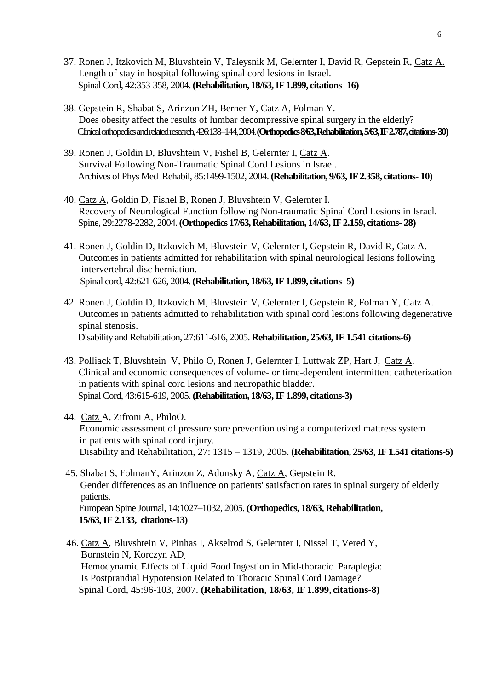- 37. Ronen J, Itzkovich M, Bluvshtein V, Taleysnik M, Gelernter I, David R, Gepstein R, Catz A. Length of stay in hospital following spinal cord lesions in Israel. Spinal Cord, 42:353-358, 2004.**(Rehabilitation, 18/63, IF 1.899, citations- 16)**
- 38. Gepstein R, Shabat S, Arinzon ZH, Berner Y, Catz A, Folman Y. Does obesity affect the results of lumbar decompressive spinal surgery in the elderly? Clinical orthopedics and related research, 426:138–144,2004.**(Orthopedics 8/63, Rehabilitation, 5/63, IF 2.787, citations-30)**
- 39. Ronen J, Goldin D, Bluvshtein V, Fishel B, Gelernter I, Catz A. Survival Following Non-Traumatic Spinal Cord Lesions in Israel. Archives of Phys Med Rehabil, 85:1499-1502, 2004. **(Rehabilitation, 9/63, IF 2.358, citations- 10)**
- 40. Catz A, Goldin D, Fishel B, Ronen J, Bluvshtein V, Gelernter I. Recovery of Neurological Function following Non-traumatic Spinal Cord Lesions in Israel. Spine, 29:2278-2282, 2004.**(Orthopedics 17/63, Rehabilitation, 14/63, IF 2.159, citations- 28)**
- 41. Ronen J, Goldin D, Itzkovich M, Bluvstein V, Gelernter I, Gepstein R, David R, Catz A. Outcomes in patients admitted for rehabilitation with spinal neurological lesions following intervertebral disc herniation. Spinal cord, 42:621-626, 2004.**(Rehabilitation, 18/63, IF 1.899, citations- 5)**
- 42. Ronen J, Goldin D, Itzkovich M, Bluvstein V, Gelernter I, Gepstein R, Folman Y, Catz A. Outcomes in patients admitted to rehabilitation with spinal cord lesions following degenerative spinal stenosis. Disability and Rehabilitation, 27:611-616, 2005. **Rehabilitation, 25/63, IF 1.541 citations-6)**
- 43. Polliack T, Bluvshtein V, Philo O, Ronen J, Gelernter I, Luttwak ZP, Hart J, Catz A. Clinical and economic consequences of volume- or time-dependent intermittent catheterization in patients with spinal cord lesions and neuropathic bladder. Spinal Cord, 43:615-619, 2005.**(Rehabilitation, 18/63,IF 1.899, citations-3)**
- 44. Catz A, Zifroni A, PhiloO. Economic assessment of pressure sore prevention using a computerized mattress system in patients with spinal cord injury. Disability and Rehabilitation, 27: 1315 – 1319, 2005. **(Rehabilitation, 25/63, IF 1.541 citations-5)**
- 45. Shabat S, FolmanY, Arinzon Z, Adunsky A, Catz A, Gepstein R. Gender differences as an influence on patients' satisfaction rates in spinal surgery of elderly patients. European Spine Journal, 14:1027–1032, 2005. **(Orthopedics, 18/63, Rehabilitation, 15/63, IF 2.133, citations-13)**
- 46. Catz A, Bluvshtein V, Pinhas I, Akselrod S, Gelernter I, Nissel T, Vered Y, Bornstein N, Korczyn AD. Hemodynamic Effects of Liquid Food Ingestion in Mid-thoracic Paraplegia: Is Postprandial Hypotension Related to Thoracic Spinal Cord Damage? Spinal Cord, 45:96-103, 2007. **(Rehabilitation, 18/63, IF 1.899, citations-8)**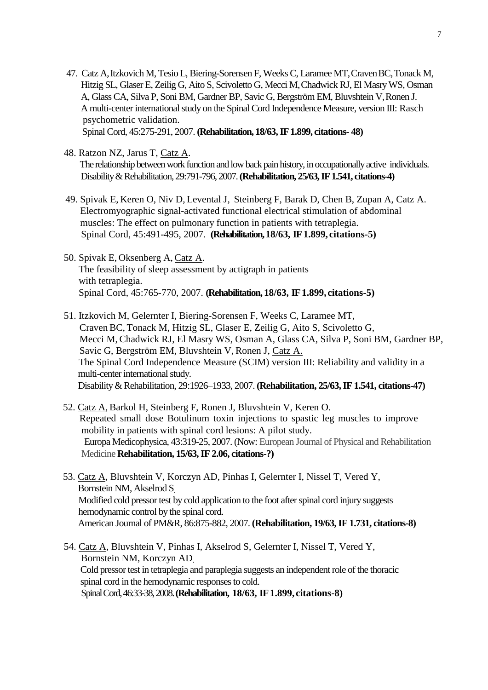- 47. Catz A, Itzkovich M, Tesio L, Biering-Sorensen F, Weeks C, Laramee MT, Craven BC, Tonack M, Hitzig SL, Glaser E, Zeilig G, Aito S, Scivoletto G, Mecci M,Chadwick RJ, El Masry WS, Osman A, Glass CA, Silva P, Soni BM, Gardner BP, Savic G, Bergström EM, Bluvshtein V,Ronen J. A multi-center international study on the Spinal Cord Independence Measure, version III: Rasch psychometric validation. Spinal Cord, 45:275-291, 2007. **(Rehabilitation, 18/63, IF 1.899, citations- 48)**
- 48. Ratzon NZ, Jarus T, Catz A. The relationship between work function and low back pain history, in occupationally active individuals. Disability& Rehabilitation, 29:791-796, 2007.**(Rehabilitation, 25/63, IF 1.541, citations-4)**
- 49. Spivak E, Keren O, Niv D, Levental J, Steinberg F, Barak D, Chen B, Zupan A, Catz A. Electromyographic signal-activated functional electrical stimulation of abdominal muscles: The effect on pulmonary function in patients with tetraplegia. Spinal Cord, 45:491-495, 2007. **(Rehabilitation, 18/63, IF 1.899, citations-5)**
- 50. Spivak E, Oksenberg A, Catz A. The feasibility of sleep assessment by actigraph in patients with tetraplegia. Spinal Cord, 45:765-770, 2007. **(Rehabilitation, 18/63, IF 1.899, citations-5)**
- 51. Itzkovich M, Gelernter I, Biering-Sorensen F, Weeks C, Laramee MT, Craven BC, Tonack M, Hitzig SL, Glaser E, Zeilig G, Aito S, Scivoletto G, Mecci M, Chadwick RJ, El Masry WS, Osman A, Glass CA, Silva P, Soni BM, Gardner BP, Savic G, Bergström EM, Bluvshtein V, Ronen J, Catz A. The Spinal Cord Independence Measure (SCIM) version III: Reliability and validity in a multi-center international study. Disability & Rehabilitation, 29:1926–1933, 2007. **(Rehabilitation, 25/63, IF 1.541, citations-47)**
- 52. Catz A, Barkol H, Steinberg F, Ronen J, Bluvshtein V, Keren O. Repeated small dose Botulinum toxin injections to spastic leg muscles to improve mobility in patients with spinal cord lesions: A pilot study. Europa Medicophysica, 43:319-25, 2007. (Now: European Journal of Physical and Rehabilitation Medicine **Rehabilitation, 15/63, IF 2.06, citations-?)**
- 53. Catz A, Bluvshtein V, Korczyn AD, Pinhas I, Gelernter I, Nissel T, Vered Y, Bornstein NM, Akselrod S. Modified cold pressor test by cold application to the foot after spinal cord injury suggests hemodynamic control by the spinal cord. American Journal of PM&R, 86:875-882, 2007. **(Rehabilitation, 19/63, IF 1.731, citations-8)**
- 54. Catz A, Bluvshtein V, Pinhas I, Akselrod S, Gelernter I, Nissel T, Vered Y, Bornstein NM, Korczyn AD. Cold pressor test in tetraplegia and paraplegia suggests an independent role of the thoracic spinal cord in the hemodynamic responses to cold. Spinal Cord, 46:33-38, 2008.**(Rehabilitation, 18/63, IF 1.899, citations-8)**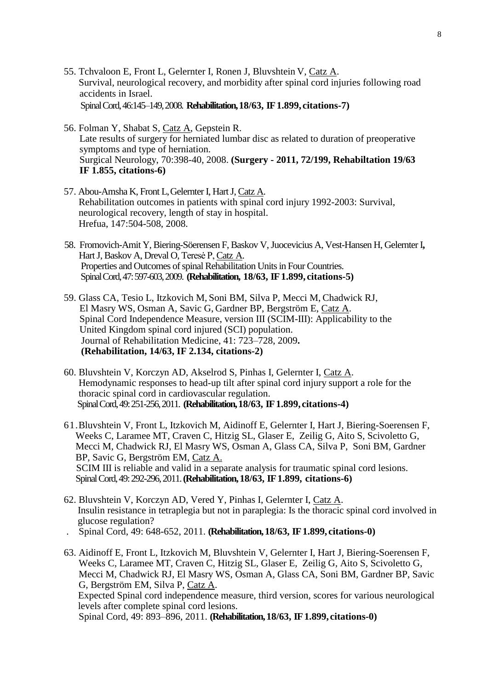- 55. Tchvaloon E, Front L, Gelernter I, Ronen J, Bluvshtein V, Catz A. Survival, neurological recovery, and morbidity after spinal cord injuries following road accidents in Israel. Spinal Cord, 46:145–149,2008. **Rehabilitation, 18/63, IF 1.899, citations-7)**
- 56. Folman Y, Shabat S, Catz A, Gepstein R. Late results of surgery for herniated lumbar disc as related to duration of preoperative symptoms and type of herniation. Surgical Neurology, 70:398-40, 2008. **(Surgery - 2011, 72/199, Rehabiltation 19/63 IF 1.855, citations-6)**
- 57. Abou-Amsha K, Front L,Gelernter I, Hart J, Catz A. Rehabilitation outcomes in patients with spinal cord injury 1992-2003: Survival, neurological recovery, length of stay in hospital. Hrefua, 147:504-508, 2008.
- 58. Fromovich-Amit Y, Biering-Söerensen F, Baskov V, Juocevicius A, Vest-Hansen H, Gelernter I**,**  Hart J, Baskov A, Dreval O, Teresė P, Catz A. Properties and Outcomes of spinal Rehabilitation Units in Four Countries. Spinal Cord, 47:597-603, 2009. **(Rehabilitation, 18/63, IF 1.899, citations-5)**
- 59. Glass CA, Tesio L, Itzkovich M, Soni BM, Silva P, Mecci M, Chadwick RJ, El Masry WS, Osman A, Savic G, Gardner BP, Bergström E, Catz A. Spinal Cord Independence Measure, version III (SCIM-III): Applicability to the United Kingdom spinal cord injured (SCI) population. Journal of Rehabilitation Medicine, 41: 723–728, 2009**. (Rehabilitation, 14/63, IF 2.134, citations-2)**
- 60. Bluvshtein V, Korczyn AD, Akselrod S, Pinhas I, Gelernter I, Catz A. Hemodynamic responses to head-up tilt after spinal cord injury support a role for the thoracic spinal cord in cardiovascular regulation. Spinal Cord, 49: 251-256, 2011. **(Rehabilitation, 18/63, IF 1.899, citations-4)**
- 61.Bluvshtein V, Front L, Itzkovich M, Aidinoff E, Gelernter I, Hart J, Biering-Soerensen F, Weeks C, Laramee MT, Craven C, Hitzig SL, Glaser E, Zeilig G, Aito S, Scivoletto G, Mecci M, Chadwick RJ, El Masry WS, Osman A, Glass CA, Silva P, Soni BM, Gardner BP, Savic G, Bergström EM, Catz A. SCIM III is reliable and valid in a separate analysis for traumatic spinal cord lesions. Spinal Cord, 49: 292-296, 2011.**(Rehabilitation, 18/63, IF 1.899, citations-6)**
- 62. Bluvshtein V, Korczyn AD, Vered Y, Pinhas I, Gelernter I, Catz A. Insulin resistance in tetraplegia but not in paraplegia: Is the thoracic spinal cord involved in glucose regulation?
- . Spinal Cord, 49: 648-652, 2011. **(Rehabilitation, 18/63, IF 1.899, citations-0)**
- 63. Aidinoff E, Front L, Itzkovich M, Bluvshtein V, Gelernter I, Hart J, Biering-Soerensen F, Weeks C, Laramee MT, Craven C, Hitzig SL, Glaser E, Zeilig G, Aito S, Scivoletto G, Mecci M, Chadwick RJ, El Masry WS, Osman A, Glass CA, Soni BM, Gardner BP, Savic G, Bergström EM, Silva P, Catz A. Expected Spinal cord independence measure, third version, scores for various neurological levels after complete spinal cord lesions. Spinal Cord, 49: 893–896, 2011. **(Rehabilitation, 18/63, IF 1.899, citations-0)**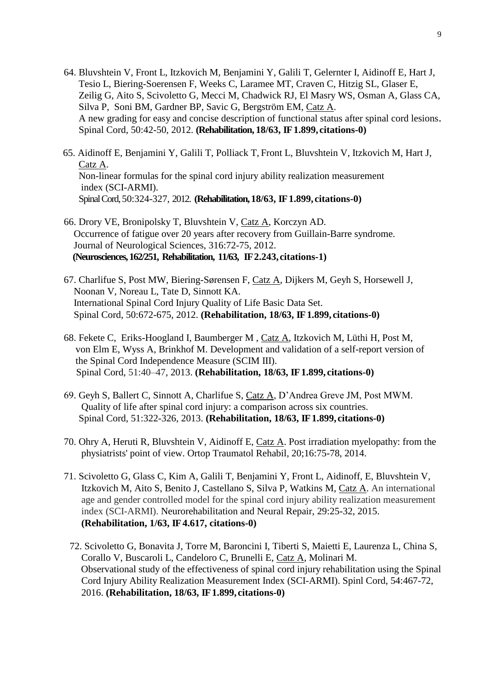- 64. Bluvshtein V, Front L, Itzkovich M, Benjamini Y, Galili T, Gelernter I, Aidinoff E, Hart J, Tesio L, Biering-Soerensen F, Weeks C, Laramee MT, Craven C, Hitzig SL, Glaser E, Zeilig G, Aito S, Scivoletto G, Mecci M, Chadwick RJ, El Masry WS, Osman A, Glass CA, Silva P, Soni BM, Gardner BP, Savic G, Bergström EM, Catz A. A new grading for easy and concise description of functional status after spinal cord lesions. Spinal Cord, 50:42-50, 2012. **(Rehabilitation, 18/63, IF 1.899, citations-0)**
- 65. Aidinoff E, Benjamini Y, Galili T, Polliack T, Front L, Bluvshtein V, Itzkovich M, Hart J, Catz A. Non-linear formulas for the spinal cord injury ability realization measurement index (SCI-ARMI). Spinal Cord, 50:324-327, 2012. **(Rehabilitation, 18/63, IF 1.899, citations-0)**
- 66. Drory VE, Bronipolsky T, Bluvshtein V, Catz A, Korczyn AD. Occurrence of fatigue over 20 years after recovery from Guillain-Barre syndrome. Journal of Neurological Sciences, 316:72-75, 2012.  **(Neurosciences, 162/251, Rehabilitation, 11/63, IF 2.243, citations-1)**
- 67. Charlifue S, Post MW, Biering-Sørensen F, Catz A, Dijkers M, Geyh S, Horsewell J, Noonan V, Noreau L, Tate D, Sinnott KA. International Spinal Cord Injury Quality of Life Basic Data Set. Spinal Cord, 50:672-675, 2012. **(Rehabilitation, 18/63, IF 1.899, citations-0)**
- 68. Fekete C, Eriks-Hoogland I, Baumberger M , Catz A, Itzkovich M, Lüthi H, Post M, von Elm E, Wyss A, Brinkhof M. Development and validation of a self-report version of the Spinal Cord Independence Measure (SCIM III). Spinal Cord, 51:40–47, 2013. **(Rehabilitation, 18/63, IF 1.899, citations-0)**
- 69. Geyh S, Ballert C, Sinnott A, Charlifue S, Catz A, D'Andrea Greve JM, Post MWM. Quality of life after spinal cord injury: a comparison across six countries. Spinal Cord, 51:322-326, 2013. **(Rehabilitation, 18/63, IF 1.899, citations-0)**
- 70. Ohry A, Heruti R, Bluvshtein V, Aidinoff E, Catz A. Post irradiation myelopathy: from the physiatrists' point of view. Ortop Traumatol Rehabil, 20;16:75-78, 2014.
- 71. Scivoletto G, Glass C, Kim A, Galili T, Benjamini Y, Front L, Aidinoff, E, Bluvshtein V, Itzkovich M, Aito S, Benito J, Castellano S, Silva P, Watkins M, Catz A. An international age and gender controlled model for the spinal cord injury ability realization measurement index (SCI-ARMI). Neurorehabilitation and Neural Repair, 29:25-32, 2015. **(Rehabilitation, 1/63, IF 4.617, citations-0)**
- 72. Scivoletto G, Bonavita J, Torre M, Baroncini I, Tiberti S, Maietti E, Laurenza L, China S, Corallo V, Buscaroli L, Candeloro C, Brunelli E, Catz A, Molinari M. Observational study of the effectiveness of spinal cord injury rehabilitation using the Spinal Cord Injury Ability Realization Measurement Index (SCI-ARMI). Spinl Cord, 54:467-72, 2016. **(Rehabilitation, 18/63, IF 1.899, citations-0)**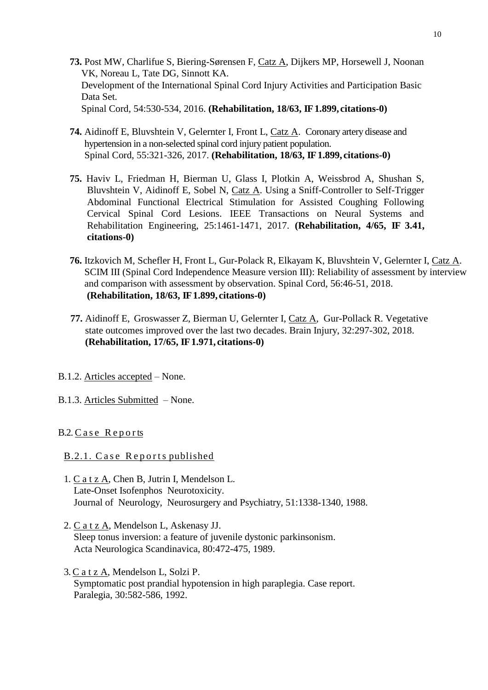- **73.** Post MW, Charlifue S, Biering-Sørensen F, Catz A, Dijkers MP, Horsewell J, Noonan VK, Noreau L, Tate DG, Sinnott KA. [Development of the International Spinal Cord Injury Activities and Participation Basic](http://www.ncbi.nlm.nih.gov/pubmed/26481708)  [Data Set.](http://www.ncbi.nlm.nih.gov/pubmed/26481708) Spinal Cord, 54:530-534, 2016. **(Rehabilitation, 18/63, IF 1.899, citations-0)**
- **74.** Aidinoff E, Bluvshtein V, Gelernter I, Front L, Catz A. Coronary artery disease and hypertension in a non-selected spinal cord injury patient population. Spinal Cord, 55:321-326, 2017. **(Rehabilitation, 18/63, IF 1.899, citations-0)**
- **75.** [Haviv](http://ieeexplore.ieee.org/search/searchresult.jsp?searchWithin=%22Authors%22:.QT.Lior%20Haviv.QT.&newsearch=true) L, [Friedman](http://ieeexplore.ieee.org/search/searchresult.jsp?searchWithin=%22Authors%22:.QT.Hagit%20Friedman.QT.&newsearch=true) H, [Bierman](http://ieeexplore.ieee.org/search/searchresult.jsp?searchWithin=%22Authors%22:.QT.Uri%20Bierman.QT.&newsearch=true) U, [Glass](http://ieeexplore.ieee.org/search/searchresult.jsp?searchWithin=%22Authors%22:.QT.Itzhak%20Glass.QT.&newsearch=true) I, [Plotkin](http://ieeexplore.ieee.org/search/searchresult.jsp?searchWithin=%22Authors%22:.QT.Anton%20Plotkin.QT.&newsearch=true) A, [Weissbrod](http://ieeexplore.ieee.org/search/searchresult.jsp?searchWithin=%22Authors%22:.QT.Aharon%20Weissbrod.QT.&newsearch=true) A, [Shushan](http://ieeexplore.ieee.org/search/searchresult.jsp?searchWithin=%22Authors%22:.QT.Sagit%20Shushan.QT.&newsearch=true) S, [Bluvshtein](http://ieeexplore.ieee.org/search/searchresult.jsp?searchWithin=%22Authors%22:.QT.Vadim%20Bluvshtein.QT.&newsearch=true) V, [Aidinoff](http://ieeexplore.ieee.org/search/searchresult.jsp?searchWithin=%22Authors%22:.QT.Elena%20Aidinoff.QT.&newsearch=true) E, [Sobel](http://ieeexplore.ieee.org/search/searchresult.jsp?searchWithin=%22Authors%22:.QT.Noam%20Sobel.QT.&newsearch=true) N, [Catz](http://ieeexplore.ieee.org/search/searchresult.jsp?searchWithin=%22Authors%22:.QT.Amiram%20Catz.QT.&newsearch=true) A. [Using a Sniff-Controller to Self-Trigger](http://ieeexplore.ieee.org/document/7837726/)  [Abdominal Functional Electrical Stimulation for Assisted Coughing Following](http://ieeexplore.ieee.org/document/7837726/)  [Cervical Spinal Cord Lesions.](http://ieeexplore.ieee.org/document/7837726/) IEEE Transactions on Neural Systems and Rehabilitation Engineering, 25:1461-1471, 2017. **(Rehabilitation, 4/65, IF 3.41, citations-0)**
- **76.** Itzkovich M, Schefler H, Front L, Gur-Polack R, Elkayam K, Bluvshtein V, Gelernter I, Catz A. SCIM III (Spinal Cord Independence Measure version III): Reliability of assessment by interview and comparison with assessment by observation. Spinal Cord, 56:46-51, 2018. **(Rehabilitation, 18/63, IF 1.899, citations-0)**
- **77.** Aidinoff E, Groswasser Z, Bierman U, Gelernter I, Catz A, Gur-Pollack R. Vegetative state outcomes improved over the last two decades. Brain Injury, 32:297-302, 2018.  **(Rehabilitation, 17/65, IF 1.971, citations-0)**
- B.1.2. Articles accepted None.
- B.1.3. Articles Submitted None.

### B.2. Case Reports

### B.2.1. Case Reports published

- 1. C a t z A, Chen B, Jutrin I, Mendelson L. Late-Onset Isofenphos Neurotoxicity. Journal of Neurology, Neurosurgery and Psychiatry, 51:1338-1340, 1988.
- 2. C a t z A, Mendelson L, Askenasy JJ. Sleep tonus inversion: a feature of juvenile dystonic parkinsonism. Acta Neurologica Scandinavica, 80:472-475, 1989.
- 3. C a t z A, Mendelson L, Solzi P. Symptomatic post prandial hypotension in high paraplegia. Case report. Paralegia, 30:582-586, 1992.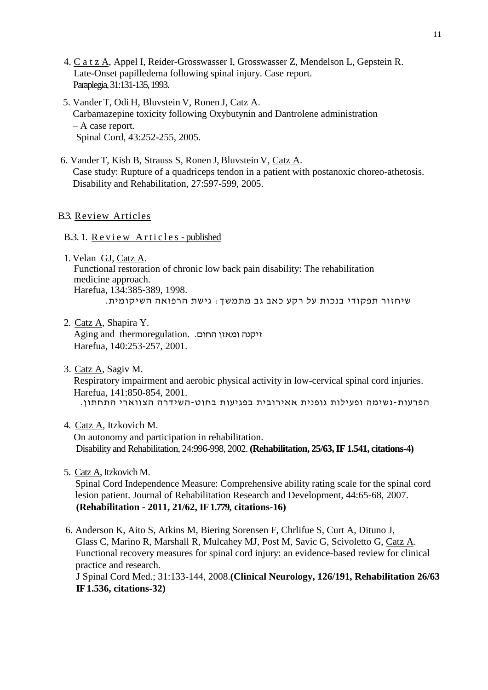- 4. C a t z A, Appel I, Reider-Grosswasser I, Grosswasser Z, Mendelson L, Gepstein R. Late-Onset papilledema following spinal injury. Case report. Paraplegia, 31:131-135, 1993.
- 5. Vander T, Odi H, Bluvstein V, Ronen J, Catz A. Carbamazepine toxicity following Oxybutynin and Dantrolene administration – A case report. Spinal Cord, 43:252-255, 2005.
- 6. Vander T, Kish B, Strauss S, Ronen J, Bluvstein V, Catz A. Case study: Rupture of a quadriceps tendon in a patient with postanoxic choreo-athetosis. Disability and Rehabilitation, 27:597-599, 2005.

## B.3. Review Articles

### B.3. 1. Review Articles - published

- 1. Velan GJ, Catz A. Functional restoration of chronic low back pain disability: The rehabilitation medicine approach. Harefua, 134:385-389, 1998. שיחזור תפקודי בנכות על רקע כאב גב מתמשך: גישת הרפואה השיקומית.
- 2. Catz A, Shapira Y. זיקנה ומאזן החום. .Aging and thermoregulation Harefua, 140:253-257, 2001.
- 3. Catz A, Sagiv M. Respiratory impairment and aerobic physical activity in low-cervical spinal cord injuries. Harefua, 141:850-854, 2001. הפרעות-נשימה ופעילות גופנית אאירובית בפגיעות בחוט-השידרה הצווארי התחתון.
- 4. Catz A, Itzkovich M. On autonomy and participation in rehabilitation. Disability and Rehabilitation, 24:996-998, 2002. **(Rehabilitation, 25/63, IF 1.541, citations-4)**
- 5. Catz A, Itzkovich M. Spinal Cord Independence Measure: Comprehensive ability rating scale for the spinal cord lesion patient. Journal of Rehabilitation Research and Development, 44:65-68, 2007. **(Rehabilitation - 2011, 21/62, IF 1.779, citations-16)**
- 6. Anderson K, Aito S, Atkins M, Biering Sorensen F, Chrlifue S, Curt A, Dituno J, Glass C, Marino R, Marshall R, Mulcahey MJ, Post M, Savic G, Scivoletto G, Catz A. Functional recovery measures for spinal cord injury: an evidence-based review for clinical practice and research. J Spinal Cord Med.; 31:133-144, 2008.**(Clinical Neurology, 126/191, Rehabilitation 26/63 IF 1.536, citations-32)**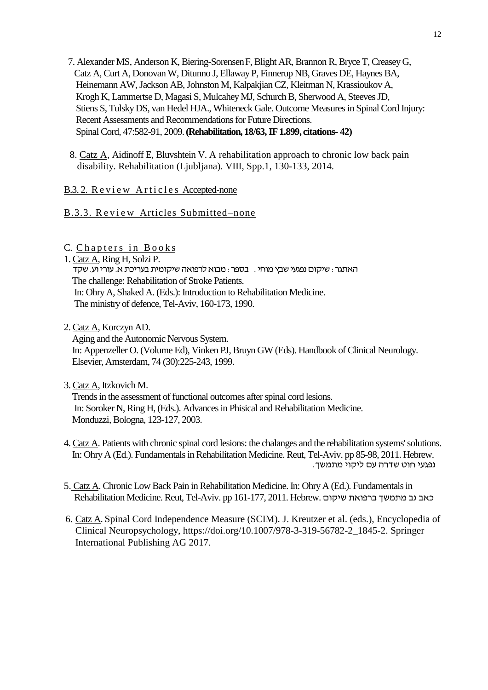7. Alexander MS, Anderson K, Biering-SorensenF, Blight AR, Brannon R, Bryce T, Creasey G, Catz A, Curt A, Donovan W, Ditunno J, Ellaway P, Finnerup NB, Graves DE, Haynes BA, Heinemann AW, Jackson AB, Johnston M, Kalpakjian CZ, Kleitman N, Krassioukov A, Krogh K, Lammertse D, Magasi S, Mulcahey MJ, Schurch B, Sherwood A, Steeves JD, Stiens S, Tulsky DS, van Hedel HJA., Whiteneck Gale. Outcome Measures in Spinal Cord Injury: Recent Assessments and Recommendations for Future Directions. Spinal Cord, 47:582-91, 2009.**(Rehabilitation, 18/63, IF 1.899, citations- 42)**

8. Catz A, Aidinoff E, Bluvshtein V. A rehabilitation approach to chronic low back pain disability. Rehabilitation (Ljubljana). VIII, Spp.1, 130-133, 2014.

# B.3.2. Review Articles Accepted-none

# B.3.3. Review Articles Submitted–none

C. Chapters in Books

1. Catz A, Ring H, Solzi P. האתגר: שיקום נפגעי שבץ מוחי . בספר: מבוא לרפואה שיקומית בעריכת א. עורי וע. שקד The challenge: Rehabilitation of Stroke Patients. In: Ohry A, Shaked A. (Eds.): Introduction to Rehabilitation Medicine. The ministry of defence, Tel-Aviv, 160-173, 1990.

2. Catz A, Korczyn AD.

 Aging and the Autonomic Nervous System. In: Appenzeller O. (Volume Ed), Vinken PJ, Bruyn GW (Eds). Handbook of Clinical Neurology. Elsevier, Amsterdam, 74 (30):225-243, 1999.

3. Catz A, Itzkovich M.

 Trends in the assessment of functional outcomes after spinal cord lesions. In: Soroker N, Ring H, (Eds.). Advances in Phisical and Rehabilitation Medicine. Monduzzi, Bologna, 123-127, 2003.

- 4. Catz A. Patients with chronic spinal cord lesions: the chalanges and the rehabilitation systems' solutions. In: Ohry A (Ed.). Fundamentals in Rehabilitation Medicine. Reut, Tel-Aviv. pp 85-98, 2011. Hebrew. נפגעי חוט שדרה עם ליקוי מתמשך.
- 5. Catz A. Chronic Low Back Pain in Rehabilitation Medicine. In: Ohry A (Ed.). Fundamentals in Rehabilitation Medicine. Reut, Tel-Aviv. pp 161-177, 2011. Hebrew. שיקום ברפואת מתמשך גב כאב
- 6. Catz A. Spinal Cord Independence Measure (SCIM). J. Kreutzer et al. (eds.), Encyclopedia of Clinical Neuropsychology, https://doi.org/10.1007/978-3-319-56782-2\_1845-2. Springer International Publishing AG 2017.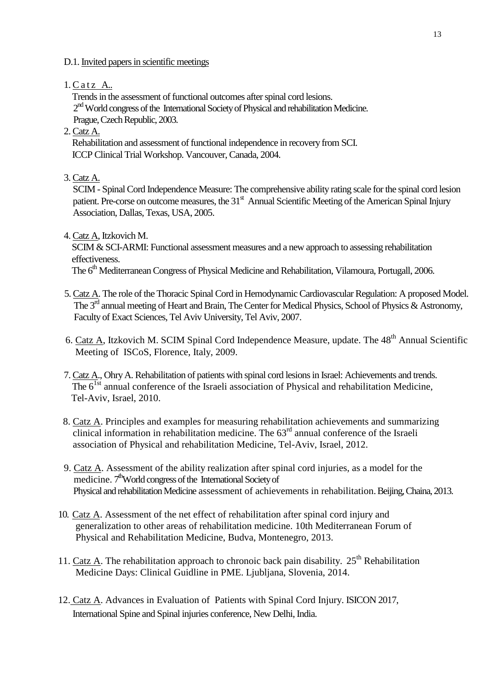D.1. Invited papers in scientific meetings

 $1.CatzA$ ..

 Trends in the assessment of functional outcomes after spinal cord lesions. 2<sup>nd</sup> World congress of the International Society of Physical and rehabilitation Medicine. Prague, Czech Republic, 2003.

2. Catz A.

 Rehabilitation and assessment of functional independence in recovery from SCI. ICCP Clinical Trial Workshop. Vancouver, Canada, 2004.

3. Catz A.

SCIM - Spinal Cord Independence Measure: The comprehensive ability rating scale for the spinal cord lesion patient. Pre-corse on outcome measures, the 31<sup>st</sup> Annual Scientific Meeting of the American Spinal Injury Association, Dallas, Texas, USA, 2005.

4. Catz A, Itzkovich M.

SCIM & SCI-ARMI: Functional assessment measures and a new approach to assessing rehabilitation effectiveness.

The 6<sup>th</sup> Mediterranean Congress of Physical Medicine and Rehabilitation, Vilamoura, Portugall, 2006.

- 5. Catz A. The role of the Thoracic Spinal Cord in Hemodynamic Cardiovascular Regulation: A proposed Model. The 3<sup>rd</sup> annual meeting of Heart and Brain, The Center for Medical Physics, School of Physics & Astronomy, Faculty of Exact Sciences, Tel Aviv University, Tel Aviv, 2007.
- 6. Catz A, Itzkovich M. SCIM Spinal Cord Independence Measure, update. The 48<sup>th</sup> Annual Scientific Meeting of ISCoS, Florence, Italy, 2009.
- 7. Catz A., Ohry A. Rehabilitation of patients with spinal cord lesions in Israel: Achievements and trends. The  $6^{1st}$  annual conference of the Israeli association of Physical and rehabilitation Medicine, Tel-Aviv, Israel, 2010.
- 8. Catz A. Principles and examples for measuring rehabilitation achievements and summarizing clinical information in rehabilitation medicine. The 63rd annual conference of the Israeli association of Physical and rehabilitation Medicine, Tel-Aviv, Israel, 2012.
- 9. Catz A. Assessment of the ability realization after spinal cord injuries, as a model for the medicine. 7<sup>th</sup>World congress of the International Society of Physical and rehabilitation Medicine assessment of achievements in rehabilitation. Beijing, Chaina, 2013.
- 10. Catz A. Assessment of the net effect of rehabilitation after spinal cord injury and generalization to other areas of rehabilitation medicine. 10th Mediterranean Forum of Physical and Rehabilitation Medicine, Budva, Montenegro, 2013.
- 11. Catz A. The rehabilitation approach to chronoic back pain disability.  $25<sup>th</sup>$  Rehabilitation Medicine Days: Clinical Guidline in PME. Ljubljana, Slovenia, 2014.
- 12. Catz A. Advances in Evaluation of Patients with Spinal Cord Injury. ISICON 2017, International Spine and Spinal injuries conference, New Delhi, India.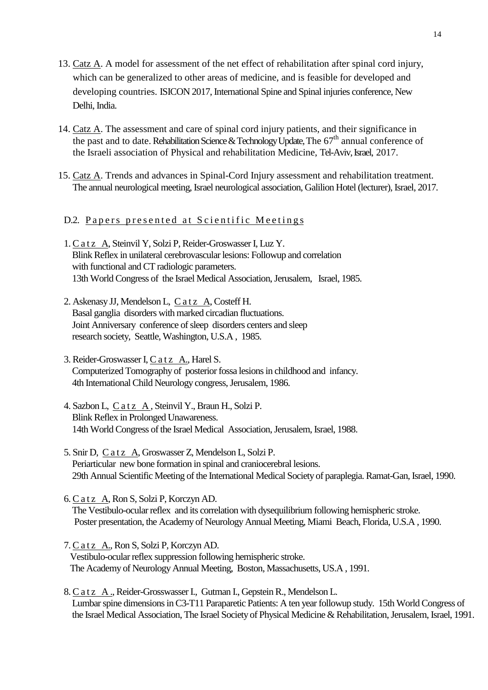- 13. Catz A. A model for assessment of the net effect of rehabilitation after spinal cord injury, which can be generalized to other areas of medicine, and is feasible for developed and developing countries. ISICON 2017, International Spine and Spinal injuries conference, New Delhi, India.
- 14. Catz A. The assessment and care of spinal cord injury patients, and their significance in the past and to date. Rehabilitation Science & Technology Update, The 67<sup>th</sup> annual conference of the Israeli association of Physical and rehabilitation Medicine, Tel-Aviv, Israel, 2017.
- 15. Catz A. Trends and advances in Spinal-Cord Injury assessment and rehabilitation treatment. The annual neurological meeting, Israel neurological association, Galilion Hotel (lecturer), Israel, 2017.

## D.2. Papers presented at Scientific Meetings

- 1. C a t z A, Steinvil Y, Solzi P, Reider-Groswasser I, Luz Y. Blink Reflex in unilateral cerebrovascular lesions: Followup and correlation with functional and CT radiologic parameters. 13th World Congress of the Israel Medical Association, Jerusalem, Israel, 1985.
- 2. Askenasy JJ, Mendelson L, Catz A, Costeff H. Basal ganglia disorders with marked circadian fluctuations. Joint Anniversary conference of sleep disorders centers and sleep research society, Seattle, Washington, U.S.A , 1985.
- 3. Reider-Groswasser I, C a t z A., Harel S. Computerized Tomography of posterior fossa lesions in childhood and infancy. 4th International Child Neurology congress, Jerusalem, 1986.
- 4. Sazbon L, C a t z A, Steinvil Y., Braun H., Solzi P. Blink Reflex in Prolonged Unawareness. 14th World Congress of the Israel Medical Association, Jerusalem, Israel, 1988.
- 5. Snir D, C a t z A, Groswasser Z, Mendelson L, Solzi P. Periarticular new bone formation in spinal and craniocerebral lesions. 29th Annual Scientific Meeting of the International Medical Society of paraplegia. Ramat-Gan, Israel, 1990.
- 6. C a t z A, Ron S, Solzi P, Korczyn AD. The Vestibulo-ocular reflex and its correlation with dysequilibrium following hemispheric stroke. Poster presentation, the Academy of Neurology Annual Meeting, Miami Beach, Florida, U.S.A , 1990.
- 7. C a t z A., Ron S, Solzi P, Korczyn AD. Vestibulo-ocular reflex suppression following hemispheric stroke. The Academy of Neurology Annual Meeting, Boston, Massachusetts, US.A , 1991.
- 8. C a t z A ., Reider-Grosswasser I., Gutman I., Gepstein R., Mendelson L. Lumbar spine dimensions in C3-T11 Paraparetic Patients: A ten year followup study. 15th World Congress of the Israel Medical Association, The Israel Society of Physical Medicine & Rehabilitation, Jerusalem, Israel, 1991.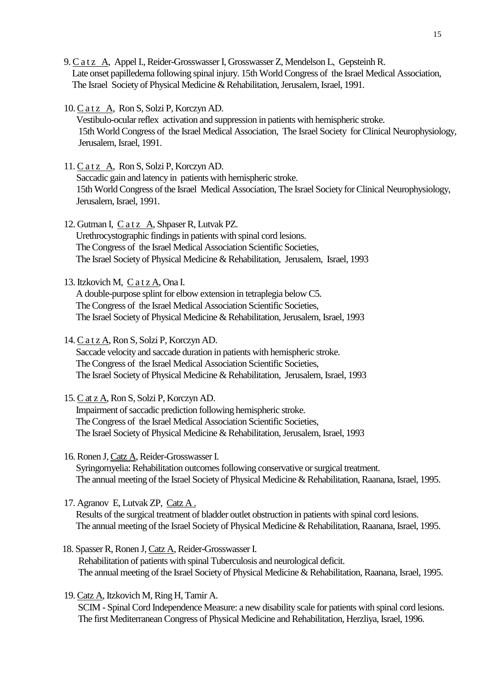9. C a t z A, Appel I., Reider-Grosswasser I, Grosswasser Z, Mendelson L, Gepsteinh R. Late onset papilledema following spinal injury. 15th World Congress of the Israel Medical Association, The Israel Society of Physical Medicine & Rehabilitation, Jerusalem, Israel, 1991.

- 10. C a t z A, Ron S, Solzi P, Korczyn AD. Vestibulo-ocular reflex activation and suppression in patients with hemispheric stroke. 15th World Congress of the Israel Medical Association, The Israel Society for Clinical Neurophysiology, Jerusalem, Israel, 1991.
- 11. C a t z A, Ron S, Solzi P, Korczyn AD. Saccadic gain and latency in patients with hemispheric stroke. 15th World Congress of the Israel Medical Association, The Israel Society for Clinical Neurophysiology, Jerusalem, Israel, 1991.
- 12. Gutman I, C a t z A, Shpaser R, Lutvak PZ. Urethrocystographic findings in patients with spinal cord lesions. The Congress of the Israel Medical Association Scientific Societies, The Israel Society of Physical Medicine & Rehabilitation, Jerusalem, Israel, 1993
- 13. Itzkovich M, C a t z A, Ona I.

 A double-purpose splint for elbow extension in tetraplegia below C5. The Congress of the Israel Medical Association Scientific Societies, The Israel Society of Physical Medicine & Rehabilitation, Jerusalem, Israel, 1993

14. C a t z A, Ron S, Solzi P, Korczyn AD.

 Saccade velocity and saccade duration in patients with hemispheric stroke. The Congress of the Israel Medical Association Scientific Societies, The Israel Society of Physical Medicine & Rehabilitation, Jerusalem, Israel, 1993

15. C at z A, Ron S, Solzi P, Korczyn AD.

 Impairment of saccadic prediction following hemispheric stroke. The Congress of the Israel Medical Association Scientific Societies, The Israel Society of Physical Medicine & Rehabilitation, Jerusalem, Israel, 1993

16. Ronen J, Catz A, Reider-Grosswasser I.

 Syringomyelia: Rehabilitation outcomes following conservative or surgical treatment. The annual meeting of the Israel Society of Physical Medicine & Rehabilitation, Raanana, Israel, 1995.

17. Agranov E, Lutvak ZP, Catz A .

 Results of the surgical treatment of bladder outlet obstruction in patients with spinal cord lesions. The annual meeting of the Israel Society of Physical Medicine & Rehabilitation, Raanana, Israel, 1995.

18. Spasser R, Ronen J, Catz A, Reider-Grosswasser I.

 Rehabilitation of patients with spinal Tuberculosis and neurological deficit. The annual meeting of the Israel Society of Physical Medicine & Rehabilitation, Raanana, Israel, 1995.

19. Catz A, Itzkovich M, Ring H, Tamir A. SCIM - Spinal Cord Independence Measure: a new disability scale for patients with spinal cord lesions. The first Mediterranean Congress of Physical Medicine and Rehabilitation, Herzliya, Israel, 1996.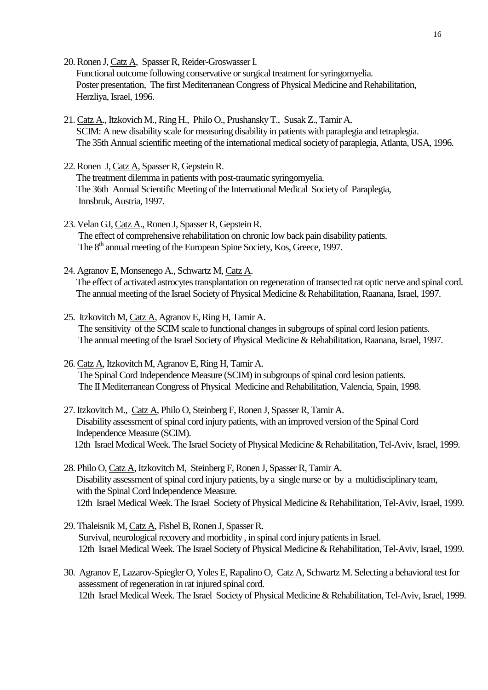- 20. Ronen J, Catz A, Spasser R, Reider-Groswasser I. Functional outcome following conservative or surgical treatment for syringomyelia. Poster presentation, The first Mediterranean Congress of Physical Medicine and Rehabilitation, Herzliya, Israel, 1996.
- 21. Catz A., Itzkovich M., Ring H., Philo O., Prushansky T., Susak Z., Tamir A. SCIM: A new disability scale for measuring disability in patients with paraplegia and tetraplegia. The 35th Annual scientific meeting of the international medical society of paraplegia, Atlanta, USA, 1996.
- 22. Ronen J, Catz A, Spasser R, Gepstein R. The treatment dilemma in patients with post-traumatic syringomyelia. The 36th Annual Scientific Meeting of the International Medical Society of Paraplegia, Innsbruk, Austria, 1997.
- 23. Velan GJ, Catz A., Ronen J, Spasser R, Gepstein R. The effect of comprehensive rehabilitation on chronic low back pain disability patients. The 8<sup>th</sup> annual meeting of the European Spine Society, Kos, Greece, 1997.
- 24. Agranov E, Monsenego A., Schwartz M, Catz A. The effect of activated astrocytes transplantation on regeneration of transected rat optic nerve and spinal cord. The annual meeting of the Israel Society of Physical Medicine & Rehabilitation, Raanana, Israel, 1997.
- 25. Itzkovitch M, Catz A, Agranov E, Ring H, Tamir A. The sensitivity of the SCIM scale to functional changes in subgroups of spinal cord lesion patients. The annual meeting of the Israel Society of Physical Medicine & Rehabilitation, Raanana, Israel, 1997.
- 26. Catz A, Itzkovitch M, Agranov E, Ring H, Tamir A. The Spinal Cord Independence Measure (SCIM) in subgroups of spinal cord lesion patients. The II Mediterranean Congress of Physical Medicine and Rehabilitation, Valencia, Spain, 1998.
- 27. Itzkovitch M., Catz A, Philo O, Steinberg F, Ronen J, Spasser R, Tamir A. Disability assessment of spinal cord injury patients, with an improved version of the Spinal Cord Independence Measure (SCIM). 12th Israel Medical Week. The Israel Society of Physical Medicine & Rehabilitation, Tel-Aviv, Israel, 1999.
- 28. Philo O, Catz A, Itzkovitch M, Steinberg F, Ronen J, Spasser R, Tamir A. Disability assessment of spinal cord injury patients, by a single nurse or by a multidisciplinary team, with the Spinal Cord Independence Measure. 12th Israel Medical Week. The Israel Society of Physical Medicine & Rehabilitation, Tel-Aviv, Israel, 1999.
- 29. Thaleisnik M, Catz A, Fishel B, Ronen J, Spasser R. Survival, neurological recovery and morbidity , in spinal cord injury patients in Israel. 12th Israel Medical Week. The Israel Society of Physical Medicine & Rehabilitation, Tel-Aviv, Israel, 1999.
- 30. Agranov E, Lazarov-Spiegler O, Yoles E, Rapalino O, Catz A, Schwartz M. Selecting a behavioral test for assessment of regeneration in rat injured spinal cord. 12th Israel Medical Week. The Israel Society of Physical Medicine & Rehabilitation, Tel-Aviv, Israel, 1999.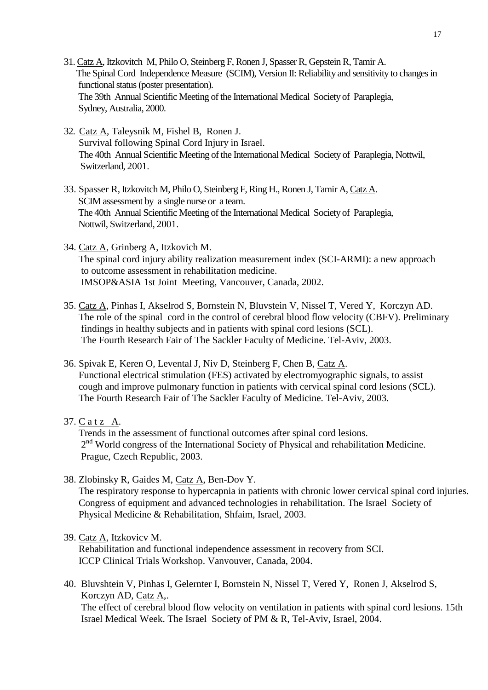- 31. Catz A, Itzkovitch M, Philo O, Steinberg F, Ronen J, Spasser R, Gepstein R, Tamir A. The Spinal Cord Independence Measure (SCIM), Version II: Reliability and sensitivity to changes in functional status (poster presentation). The 39th Annual Scientific Meeting of the International Medical Society of Paraplegia, Sydney, Australia, 2000.
- 32. Catz A, Taleysnik M, Fishel B, Ronen J. Survival following Spinal Cord Injury in Israel. The 40th Annual Scientific Meeting of the International Medical Society of Paraplegia, Nottwil, Switzerland, 2001.
- 33. Spasser R, Itzkovitch M, Philo O, Steinberg F, Ring H., Ronen J, Tamir A, Catz A. SCIM assessment by a single nurse or a team. The 40th Annual Scientific Meeting of the International Medical Society of Paraplegia, Nottwil, Switzerland, 2001.
- 34. Catz A, Grinberg A, Itzkovich M. The spinal cord injury ability realization measurement index (SCI-ARMI): a new approach to outcome assessment in rehabilitation medicine. IMSOP&ASIA 1st Joint Meeting, Vancouver, Canada, 2002.
- 35. Catz A, Pinhas I, Akselrod S, Bornstein N, Bluvstein V, Nissel T, Vered Y, Korczyn AD. The role of the spinal cord in the control of cerebral blood flow velocity (CBFV). Preliminary findings in healthy subjects and in patients with spinal cord lesions (SCL). The Fourth Research Fair of The Sackler Faculty of Medicine. Tel-Aviv, 2003.
- 36. Spivak E, Keren O, Levental J, Niv D, Steinberg F, Chen B, Catz A. Functional electrical stimulation (FES) activated by electromyographic signals, to assist cough and improve pulmonary function in patients with cervical spinal cord lesions (SCL). The Fourth Research Fair of The Sackler Faculty of Medicine. Tel-Aviv, 2003.
- 37. C a t z A.

 Trends in the assessment of functional outcomes after spinal cord lesions. 2<sup>nd</sup> World congress of the International Society of Physical and rehabilitation Medicine. Prague, Czech Republic, 2003.

38. Zlobinsky R, Gaides M, Catz A, Ben-Dov Y.

 The respiratory response to hypercapnia in patients with chronic lower cervical spinal cord injuries. Congress of equipment and advanced technologies in rehabilitation. The Israel Society of Physical Medicine & Rehabilitation, Shfaim, Israel, 2003.

### 39. Catz A, Itzkovicv M.

 Rehabilitation and functional independence assessment in recovery from SCI. ICCP Clinical Trials Workshop. Vanvouver, Canada, 2004.

40. Bluvshtein V, Pinhas I, Gelernter I, Bornstein N, Nissel T, Vered Y, Ronen J, Akselrod S, Korczyn AD, Catz A,. The effect of cerebral blood flow velocity on ventilation in patients with spinal cord lesions. 15th Israel Medical Week. The Israel Society of PM & R, Tel-Aviv, Israel, 2004.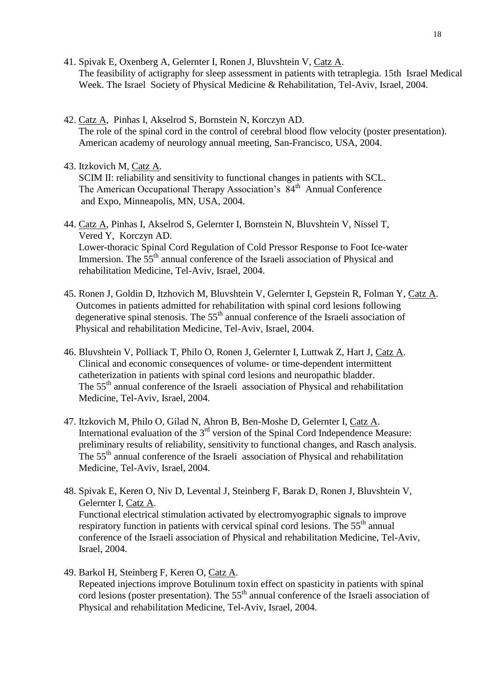- 41. Spivak E, Oxenberg A, Gelernter I, Ronen J, Bluvshtein V, Catz A. The feasibility of actigraphy for sleep assessment in patients with tetraplegia. 15th Israel Medical Week. The Israel Society of Physical Medicine & Rehabilitation, Tel-Aviv, Israel, 2004.
- 42. Catz A, Pinhas I, Akselrod S, Bornstein N, Korczyn AD. The role of the spinal cord in the control of cerebral blood flow velocity (poster presentation). American academy of neurology annual meeting, San-Francisco, USA, 2004.
- 43. Itzkovich M, Catz A.

 SCIM II: reliability and sensitivity to functional changes in patients with SCL. The American Occupational Therapy Association's 84<sup>th</sup> Annual Conference and Expo, Minneapolis, MN, USA, 2004.

44. Catz A, Pinhas I, Akselrod S, Gelernter I, Bornstein N, Bluvshtein V, Nissel T, Vered Y, Korczyn AD. Lower-thoracic Spinal Cord Regulation of Cold Pressor Response to Foot Ice-water Immersion. The 55<sup>th</sup> annual conference of the Israeli association of Physical and rehabilitation Medicine, Tel-Aviv, Israel, 2004.

- 45. Ronen J, Goldin D, Itzhovich M, Bluvshtein V, Gelernter I, Gepstein R, Folman Y, Catz A. Outcomes in patients admitted for rehabilitation with spinal cord lesions following degenerative spinal stenosis. The  $55<sup>th</sup>$  annual conference of the Israeli association of Physical and rehabilitation Medicine, Tel-Aviv, Israel, 2004.
- 46. Bluvshtein V, Polliack T, Philo O, Ronen J, Gelernter I, Luttwak Z, Hart J, Catz A. Clinical and economic consequences of volume- or time-dependent intermittent catheterization in patients with spinal cord lesions and neuropathic bladder. The 55<sup>th</sup> annual conference of the Israeli association of Physical and rehabilitation Medicine, Tel-Aviv, Israel, 2004.
- 47. Itzkovich M, Philo O, Gilad N, Ahron B, Ben-Moshe D, Gelernter I, Catz A. International evaluation of the 3<sup>rd</sup> version of the Spinal Cord Independence Measure: preliminary results of reliability, sensitivity to functional changes, and Rasch analysis. The 55<sup>th</sup> annual conference of the Israeli association of Physical and rehabilitation Medicine, Tel-Aviv, Israel, 2004.
- 48. Spivak E, Keren O, Niv D, Levental J, Steinberg F, Barak D, Ronen J, Bluvshtein V, Gelernter I, Catz A. Functional electrical stimulation activated by electromyographic signals to improve respiratory function in patients with cervical spinal cord lesions. The  $55<sup>th</sup>$  annual conference of the Israeli association of Physical and rehabilitation Medicine, Tel-Aviv, Israel, 2004.
- 49. Barkol H, Steinberg F, Keren O, Catz A. Repeated injections improve Botulinum toxin effect on spasticity in patients with spinal cord lesions (poster presentation). The  $55<sup>th</sup>$  annual conference of the Israeli association of Physical and rehabilitation Medicine, Tel-Aviv, Israel, 2004.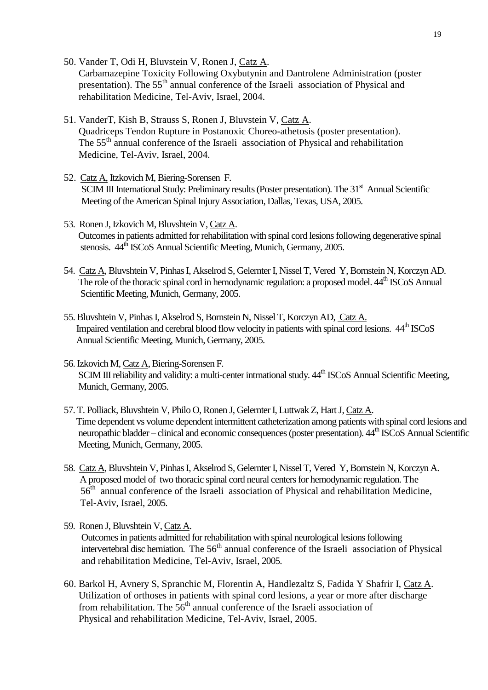- 50. Vander T, Odi H, Bluvstein V, Ronen J, Catz A. Carbamazepine Toxicity Following Oxybutynin and Dantrolene Administration (poster presentation). The 55<sup>th</sup> annual conference of the Israeli association of Physical and rehabilitation Medicine, Tel-Aviv, Israel, 2004.
- 51. VanderT, Kish B, Strauss S, Ronen J, Bluvstein V, Catz A. Quadriceps Tendon Rupture in Postanoxic Choreo-athetosis (poster presentation). The 55<sup>th</sup> annual conference of the Israeli association of Physical and rehabilitation Medicine, Tel-Aviv, Israel, 2004.
- 52. Catz A, Itzkovich M, Biering-Sorensen F. SCIM III International Study: Preliminary results (Poster presentation). The 31<sup>st</sup> Annual Scientific Meeting of the American Spinal Injury Association, Dallas, Texas, USA, 2005.
- 53. Ronen J, Izkovich M, Bluvshtein V, Catz A. Outcomes in patients admitted for rehabilitation with spinal cord lesions following degenerative spinal stenosis.  $44^{\text{th}}$  ISCoS Annual Scientific Meeting, Munich, Germany, 2005.
- 54. Catz A, Bluvshtein V, Pinhas I, Akselrod S, Gelernter I, Nissel T, Vered Y, Bornstein N, Korczyn AD. The role of the thoracic spinal cord in hemodynamic regulation: a proposed model.  $44^{\text{th}}$  ISCoS Annual Scientific Meeting, Munich, Germany, 2005.
- 55. Bluvshtein V, Pinhas I, Akselrod S, Bornstein N, Nissel T, Korczyn AD, Catz A. Impaired ventilation and cerebral blood flow velocity in patients with spinal cord lesions.  $44^{\text{th}}$  ISCoS Annual Scientific Meeting, Munich, Germany, 2005.
- 56. Izkovich M, Catz A, Biering-Sorensen F. SCIM III reliability and validity: a multi-center intrnational study.  $44^{\text{th}}$  ISCoS Annual Scientific Meeting, Munich, Germany, 2005.
- 57. T. Polliack, Bluvshtein V, Philo O, Ronen J, Gelernter I, Luttwak Z, Hart J, Catz A. Time dependent vs volume dependent intermittent catheterization among patients with spinal cord lesions and neuropathic bladder – clinical and economic consequences (poster presentation).  $44^{\text{th}}$  ISCoS Annual Scientific Meeting, Munich, Germany, 2005.
- 58. Catz A, Bluvshtein V, Pinhas I, Akselrod S, Gelernter I, Nissel T, Vered Y, Bornstein N, Korczyn A. A proposed model of two thoracic spinal cord neural centers for hemodynamic regulation. The 56<sup>th</sup> annual conference of the Israeli association of Physical and rehabilitation Medicine, Tel-Aviv, Israel, 2005.
- 59. Ronen J, Bluvshtein V, Catz A. Outcomes in patients admitted for rehabilitation with spinal neurological lesions following intervertebral disc herniation. The 56<sup>th</sup> annual conference of the Israeli association of Physical and rehabilitation Medicine, Tel-Aviv, Israel, 2005.
- 60. Barkol H, Avnery S, Spranchic M, Florentin A, Handlezaltz S, Fadida Y Shafrir I, Catz A. Utilization of orthoses in patients with spinal cord lesions, a year or more after discharge from rehabilitation. The  $56<sup>th</sup>$  annual conference of the Israeli association of Physical and rehabilitation Medicine, Tel-Aviv, Israel, 2005.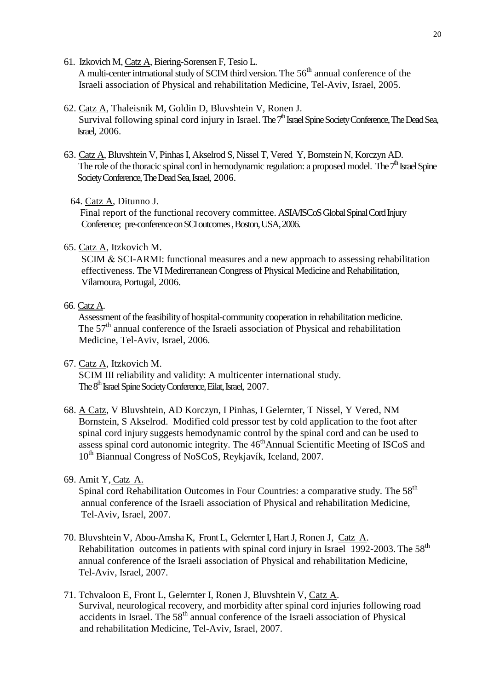- 61. Izkovich M, Catz A, Biering-Sorensen F, Tesio L. A multi-center intrnational study of SCIM third version. The  $56<sup>th</sup>$  annual conference of the Israeli association of Physical and rehabilitation Medicine, Tel-Aviv, Israel, 2005.
- 62. Catz A, Thaleisnik M, Goldin D, Bluvshtein V, Ronen J. Survival following spinal cord injury in Israel. The  $7<sup>th</sup>$  Israel Spine Society Conference, The Dead Sea, Israel, 2006.
- 63. Catz A, Bluvshtein V, Pinhas I, Akselrod S, Nissel T, Vered Y, Bornstein N, Korczyn AD. The role of the thoracic spinal cord in hemodynamic regulation: a proposed model. The  $7<sup>th</sup>$  Israel Spine Society Conference, The Dead Sea, Israel, 2006.
	- 64. Catz A, Ditunno J.

 Final report of the functional recovery committee. ASIA/ISCoS Global Spinal Cord Injury Conference; pre-conference on SCI outcomes, Boston, USA, 2006.

## 65. Catz A, Itzkovich M.

SCIM & SCI-ARMI: functional measures and a new approach to assessing rehabilitation effectiveness. The VI Medirerranean Congress of Physical Medicine and Rehabilitation, Vilamoura, Portugal, 2006.

## 66. Catz A.

 Assessment of the feasibility of hospital-community cooperation in rehabilitation medicine. The  $57<sup>th</sup>$  annual conference of the Israeli association of Physical and rehabilitation Medicine, Tel-Aviv, Israel, 2006.

67. Catz A, Itzkovich M.

 SCIM III reliability and validity: A multicenter international study. The 8<sup>th</sup> Israel Spine Society Conference, Eilat, Israel, 2007.

68. A Catz, V Bluvshtein, AD Korczyn, I Pinhas, I Gelernter, T Nissel, Y Vered, NM Bornstein, S Akselrod. Modified cold pressor test by cold application to the foot after spinal cord injury suggests hemodynamic control by the spinal cord and can be used to assess spinal cord autonomic integrity. The 46<sup>th</sup>Annual Scientific Meeting of ISCoS and 10<sup>th</sup> Biannual Congress of NoSCoS, Reykjavík, Iceland, 2007.

# 69. Amit Y, Catz A.

Spinal cord Rehabilitation Outcomes in Four Countries: a comparative study. The 58<sup>th</sup> annual conference of the Israeli association of Physical and rehabilitation Medicine, Tel-Aviv, Israel, 2007.

- 70. Bluvshtein V, Abou-Amsha K, Front L, Gelernter I, Hart J, Ronen J, Catz A. Rehabilitation outcomes in patients with spinal cord injury in Israel 1992-2003. The  $58<sup>th</sup>$  annual conference of the Israeli association of Physical and rehabilitation Medicine, Tel-Aviv, Israel, 2007.
- 71. Tchvaloon E, Front L, Gelernter I, Ronen J, Bluvshtein V, Catz A. Survival, neurological recovery, and morbidity after spinal cord injuries following road accidents in Israel. The 58<sup>th</sup> annual conference of the Israeli association of Physical and rehabilitation Medicine, Tel-Aviv, Israel, 2007.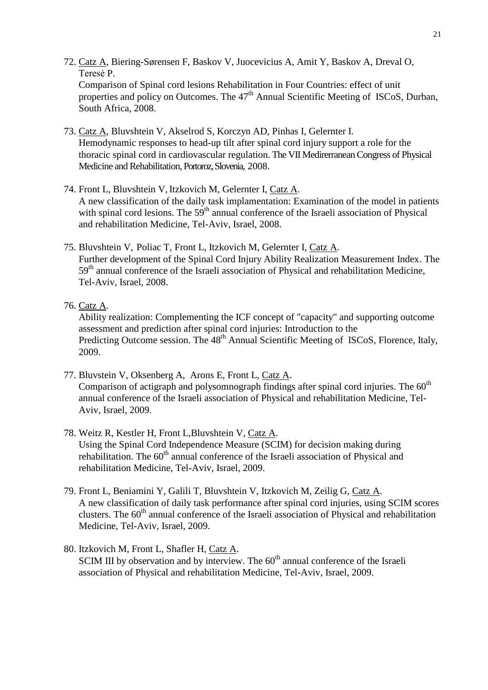- 72. Catz A, Biering-Sørensen F, Baskov V, Juocevicius A, Amit Y, Baskov A, Dreval O, Teresė P. Comparison of Spinal cord lesions Rehabilitation in Four Countries: effect of unit properties and policy on Outcomes. The  $47<sup>th</sup>$  Annual Scientific Meeting of ISCoS, Durban,
- 73. Catz A, Bluvshtein V, Akselrod S, Korczyn AD, Pinhas I, Gelernter I. Hemodynamic responses to head-up tilt after spinal cord injury support a role for the thoracic spinal cord in cardiovascular regulation. The VII Medirerranean Congress of Physical Medicine and Rehabilitation, Portoroz, Slovenia, 2008.
- 74. Front L, Bluvshtein V, Itzkovich M, Gelernter I, Catz A. A new classification of the daily task implamentation: Examination of the model in patients with spinal cord lesions. The 59<sup>th</sup> annual conference of the Israeli association of Physical and rehabilitation Medicine, Tel-Aviv, Israel, 2008.
- 75. Bluvshtein V, Poliac T, Front L, Itzkovich M, Gelernter I, Catz A. Further development of the Spinal Cord Injury Ability Realization Measurement Index. The 59<sup>th</sup> annual conference of the Israeli association of Physical and rehabilitation Medicine, Tel-Aviv, Israel, 2008.
- 76. Catz A.

South Africa, 2008.

Ability realization: Complementing the ICF concept of "capacity" and supporting outcome assessment and prediction after spinal cord injuries: Introduction to the Predicting Outcome session. The 48<sup>th</sup> Annual Scientific Meeting of ISCoS, Florence, Italy, 2009.

- 77. Bluvstein V, Oksenberg A, Arons E, Front L, Catz A. Comparison of actigraph and polysomnograph findings after spinal cord injuries. The  $60<sup>th</sup>$ annual conference of the Israeli association of Physical and rehabilitation Medicine, Tel-Aviv, Israel, 2009.
- 78. Weitz R, Kestler H, Front L,Bluvshtein V, Catz A. Using the Spinal Cord Independence Measure (SCIM) for decision making during rehabilitation. The  $60<sup>th</sup>$  annual conference of the Israeli association of Physical and rehabilitation Medicine, Tel-Aviv, Israel, 2009.
- 79. Front L, Beniamini Y, Galili T, Bluvshtein V, Itzkovich M, Zeilig G, Catz A. A new classification of daily task performance after spinal cord injuries, using SCIM scores clusters. The  $60<sup>th</sup>$  annual conference of the Israeli association of Physical and rehabilitation Medicine, Tel-Aviv, Israel, 2009.
- 80. Itzkovich M, Front L, Shafler H, Catz A. SCIM III by observation and by interview. The  $60<sup>th</sup>$  annual conference of the Israeli association of Physical and rehabilitation Medicine, Tel-Aviv, Israel, 2009.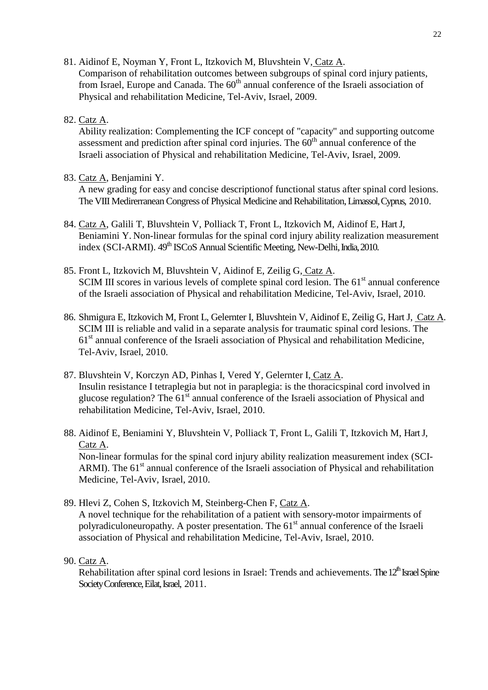81. Aidinof E, Noyman Y, Front L, Itzkovich M, Bluvshtein V, Catz A.

Comparison of rehabilitation outcomes between subgroups of spinal cord injury patients, from Israel, Europe and Canada. The  $60<sup>th</sup>$  annual conference of the Israeli association of Physical and rehabilitation Medicine, Tel-Aviv, Israel, 2009.

# 82. Catz A.

Ability realization: Complementing the ICF concept of "capacity" and supporting outcome assessment and prediction after spinal cord injuries. The  $60<sup>th</sup>$  annual conference of the Israeli association of Physical and rehabilitation Medicine, Tel-Aviv, Israel, 2009.

# 83. Catz A, Benjamini Y.

A new grading for easy and concise descriptionof functional status after spinal cord lesions. The VIII Medirerranean Congress of Physical Medicine and Rehabilitation, Limassol, Cyprus, 2010.

- 84. Catz A, Galili T, Bluvshtein V, Polliack T, Front L, Itzkovich M, Aidinof E, Hart J, Beniamini Y. Non-linear formulas for the spinal cord injury ability realization measurement index (SCI-ARMI). 49<sup>th</sup> ISCoS Annual Scientific Meeting, New-Delhi, India, 2010.
- 85. Front L, Itzkovich M, Bluvshtein V, Aidinof E, Zeilig G, Catz A. SCIM III scores in various levels of complete spinal cord lesion. The 61<sup>st</sup> annual conference of the Israeli association of Physical and rehabilitation Medicine, Tel-Aviv, Israel, 2010.
- 86. Shmigura E, Itzkovich M, Front L, Gelernter I, Bluvshtein V, Aidinof E, Zeilig G, Hart J, Catz A. SCIM III is reliable and valid in a separate analysis for traumatic spinal cord lesions. The 61<sup>st</sup> annual conference of the Israeli association of Physical and rehabilitation Medicine, Tel-Aviv, Israel, 2010.
- 87. Bluvshtein V, Korczyn AD, Pinhas I, Vered Y, Gelernter I, Catz A. Insulin resistance I tetraplegia but not in paraplegia: is the thoracicspinal cord involved in glucose regulation? The 61<sup>st</sup> annual conference of the Israeli association of Physical and rehabilitation Medicine, Tel-Aviv, Israel, 2010.
- 88. Aidinof E, Beniamini Y, Bluvshtein V, Polliack T, Front L, Galili T, Itzkovich M, Hart J, Catz A. Non-linear formulas for the spinal cord injury ability realization measurement index (SCI-ARMI). The 61<sup>st</sup> annual conference of the Israeli association of Physical and rehabilitation Medicine, Tel-Aviv, Israel, 2010.
- 89. Hlevi Z, Cohen S, Itzkovich M, Steinberg-Chen F, Catz A. A novel technique for the rehabilitation of a patient with sensory-motor impairments of polyradiculoneuropathy. A poster presentation. The 61<sup>st</sup> annual conference of the Israeli association of Physical and rehabilitation Medicine, Tel-Aviv, Israel, 2010.
- 90. Catz A.

Rehabilitation after spinal cord lesions in Israel: Trends and achievements. The  $12<sup>th</sup>$  Israel Spine Society Conference, Eilat, Israel, 2011.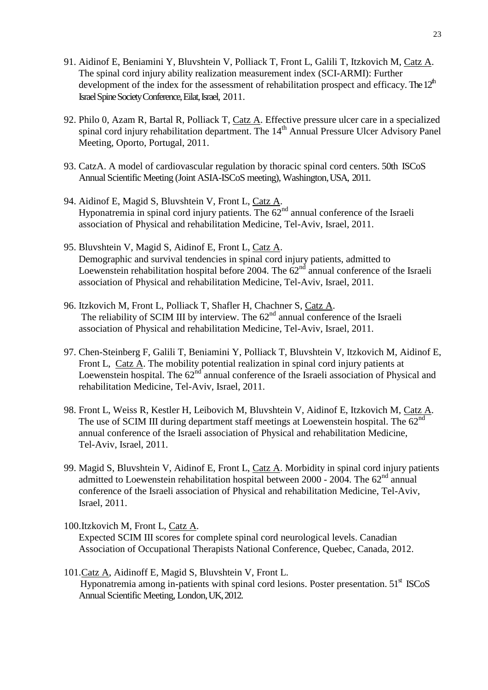- 91. Aidinof E, Beniamini Y, Bluvshtein V, Polliack T, Front L, Galili T, Itzkovich M, Catz A. The spinal cord injury ability realization measurement index (SCI-ARMI): Further development of the index for the assessment of rehabilitation prospect and efficacy. The  $12<sup>th</sup>$ Israel Spine Society Conference, Eilat, Israel, 2011.
- 92. Philo 0, Azam R, Bartal R, Polliack T, Catz A. Effective pressure ulcer care in a specialized spinal cord injury rehabilitation department. The 14<sup>th</sup> Annual Pressure Ulcer Advisory Panel Meeting, Oporto, Portugal, 2011.
- 93. CatzA. A model of cardiovascular regulation by thoracic spinal cord centers. 50th ISCoS Annual Scientific Meeting (Joint ASIA-ISCoS meeting), Washington, USA, 2011.
- 94. Aidinof E, Magid S, Bluvshtein V, Front L, Catz A. Hyponatremia in spinal cord injury patients. The  $62<sup>nd</sup>$  annual conference of the Israeli association of Physical and rehabilitation Medicine, Tel-Aviv, Israel, 2011.
- 95. Bluvshtein V, Magid S, Aidinof E, Front L, Catz A. Demographic and survival tendencies in spinal cord injury patients, admitted to Loewenstein rehabilitation hospital before 2004. The  $62<sup>nd</sup>$  annual conference of the Israeli association of Physical and rehabilitation Medicine, Tel-Aviv, Israel, 2011.
- 96. Itzkovich M, Front L, Polliack T, Shafler H, Chachner S, Catz A. The reliability of SCIM III by interview. The  $62<sup>nd</sup>$  annual conference of the Israeli association of Physical and rehabilitation Medicine, Tel-Aviv, Israel, 2011.
- 97. Chen-Steinberg F, Galili T, Beniamini Y, Polliack T, Bluvshtein V, Itzkovich M, Aidinof E, Front L, Catz A. The mobility potential realization in spinal cord injury patients at Loewenstein hospital. The  $62<sup>nd</sup>$  annual conference of the Israeli association of Physical and rehabilitation Medicine, Tel-Aviv, Israel, 2011.
- 98. Front L, Weiss R, Kestler H, Leibovich M, Bluvshtein V, Aidinof E, Itzkovich M, Catz A. The use of SCIM III during department staff meetings at Loewenstein hospital. The 62<sup>nd</sup> annual conference of the Israeli association of Physical and rehabilitation Medicine, Tel-Aviv, Israel, 2011.
- 99. Magid S, Bluvshtein V, Aidinof E, Front L, Catz A. Morbidity in spinal cord injury patients admitted to Loewenstein rehabilitation hospital between  $2000 - 2004$ . The  $62<sup>nd</sup>$  annual conference of the Israeli association of Physical and rehabilitation Medicine, Tel-Aviv, Israel, 2011.

100.Itzkovich M, Front L, Catz A.

Expected SCIM III scores for complete spinal cord neurological levels. Canadian Association of Occupational Therapists National Conference, Quebec, Canada, 2012.

101.Catz A, Aidinoff E, Magid S, Bluvshtein V, Front L. Hyponatremia among in-patients with spinal cord lesions. Poster presentation. 51<sup>st</sup> ISCoS Annual Scientific Meeting, London, UK, 2012.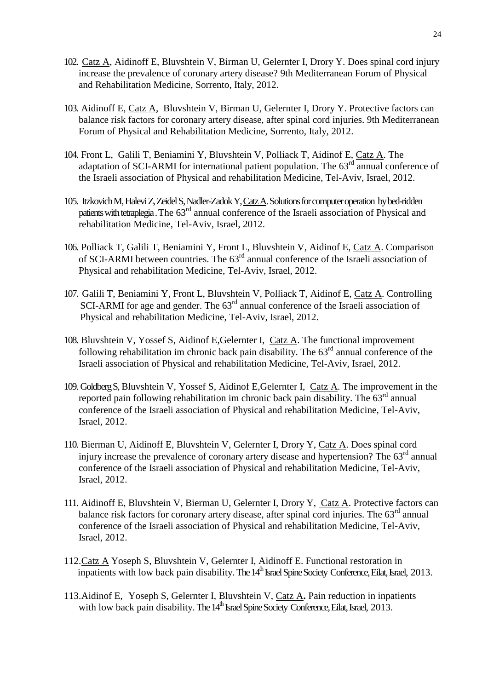- 102. Catz A, Aidinoff E, Bluvshtein V, Birman U, Gelernter I, Drory Y. Does spinal cord injury increase the prevalence of coronary artery disease? 9th Mediterranean Forum of Physical and Rehabilitation Medicine, Sorrento, Italy, 2012.
- 103. Aidinoff E, Catz A, Bluvshtein V, Birman U, Gelernter I, Drory Y. Protective factors can balance risk factors for coronary artery disease, after spinal cord injuries. 9th Mediterranean Forum of Physical and Rehabilitation Medicine, Sorrento, Italy, 2012.
- 104. Front L, Galili T, Beniamini Y, Bluvshtein V, Polliack T, Aidinof E, Catz A. The adaptation of SCI-ARMI for international patient population. The 63<sup>rd</sup> annual conference of the Israeli association of Physical and rehabilitation Medicine, Tel-Aviv, Israel, 2012.
- 105. Itzkovich M, Halevi Z, Zeidel S, Nadler-Zadok Y, Catz A. Solutions for computer operation bybed-ridden patients with tetraplegia. The  $63<sup>rd</sup>$  annual conference of the Israeli association of Physical and rehabilitation Medicine, Tel-Aviv, Israel, 2012.
- 106. Polliack T, Galili T, Beniamini Y, Front L, Bluvshtein V, Aidinof E, Catz A. Comparison of SCI-ARMI between countries. The 63<sup>rd</sup> annual conference of the Israeli association of Physical and rehabilitation Medicine, Tel-Aviv, Israel, 2012.
- 107. Galili T, Beniamini Y, Front L, Bluvshtein V, Polliack T, Aidinof E, Catz A. Controlling SCI-ARMI for age and gender. The 63<sup>rd</sup> annual conference of the Israeli association of Physical and rehabilitation Medicine, Tel-Aviv, Israel, 2012.
- 108. Bluvshtein V, Yossef S, Aidinof E,Gelernter I, Catz A. The functional improvement following rehabilitation im chronic back pain disability. The  $63<sup>rd</sup>$  annual conference of the Israeli association of Physical and rehabilitation Medicine, Tel-Aviv, Israel, 2012.
- 109. Goldberg S, Bluvshtein V, Yossef S, Aidinof E,Gelernter I, Catz A. The improvement in the reported pain following rehabilitation im chronic back pain disability. The  $63<sup>rd</sup>$  annual conference of the Israeli association of Physical and rehabilitation Medicine, Tel-Aviv, Israel, 2012.
- 110. Bierman U, Aidinoff E, Bluvshtein V, Gelernter I, Drory Y, Catz A. Does spinal cord injury increase the prevalence of coronary artery disease and hypertension? The  $63<sup>rd</sup>$  annual conference of the Israeli association of Physical and rehabilitation Medicine, Tel-Aviv, Israel, 2012.
- 111. Aidinoff E, Bluvshtein V, Bierman U, Gelernter I, Drory Y, Catz A. Protective factors can balance risk factors for coronary artery disease, after spinal cord injuries. The  $63<sup>rd</sup>$  annual conference of the Israeli association of Physical and rehabilitation Medicine, Tel-Aviv, Israel, 2012.
- 112.Catz A Yoseph S, Bluvshtein V, Gelernter I, Aidinoff E. Functional restoration in inpatients with low back pain disability. The  $14<sup>th</sup>$  Israel Spine Society Conference, Eilat, Israel, 2013.
- 113.Aidinof E, Yoseph S, Gelernter I, Bluvshtein V, Catz A**.** Pain reduction in inpatients with low back pain disability. The  $14<sup>th</sup>$  Israel Spine Society Conference, Eilat, Israel, 2013.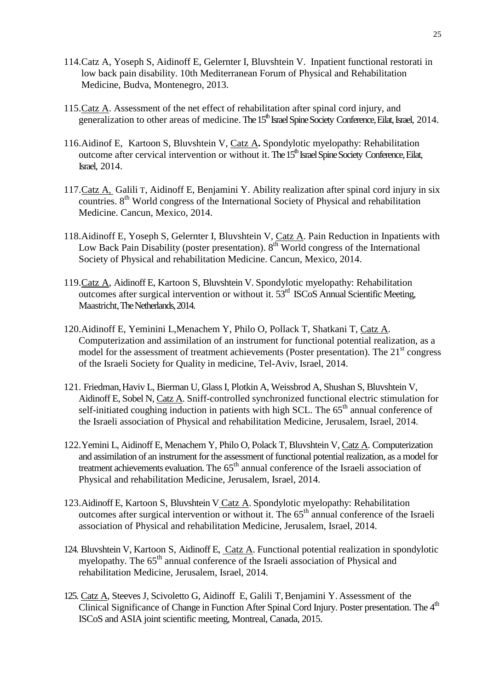- 114.Catz A, Yoseph S, Aidinoff E, Gelernter I, Bluvshtein V. Inpatient functional restorati in low back pain disability. 10th Mediterranean Forum of Physical and Rehabilitation Medicine, Budva, Montenegro, 2013.
- 115.Catz A. Assessment of the net effect of rehabilitation after spinal cord injury, and generalization to other areas of medicine. The 15<sup>th</sup> Israel Spine Society Conference, Eilat, Israel, 2014.
- 116.Aidinof E, Kartoon S, Bluvshtein V, Catz A**.** Spondylotic myelopathy: Rehabilitation outcome after cervical intervention or without it. The 15<sup>th</sup> Israel Spine Society Conference, Eilat, Israel, 2014.
- 117.Catz A, Galili T, Aidinoff E, Benjamini Y. Ability realization after spinal cord injury in six countries. 8<sup>th</sup> World congress of the International Society of Physical and rehabilitation Medicine. Cancun, Mexico, 2014.
- 118.Aidinoff E, Yoseph S, Gelernter I, Bluvshtein V, Catz A. Pain Reduction in Inpatients with Low Back Pain Disability (poster presentation).  $8<sup>th</sup>$  World congress of the International Society of Physical and rehabilitation Medicine. Cancun, Mexico, 2014.
- 119.Catz A, Aidinoff E, Kartoon S, Bluvshtein V. Spondylotic myelopathy: Rehabilitation outcomes after surgical intervention or without it.  $53<sup>rd</sup>$  ISCoS Annual Scientific Meeting, Maastricht, The Netherlands, 2014.
- 120.Aidinoff E, Yeminini L,Menachem Y, Philo O, Pollack T, Shatkani T, Catz A. Computerization and assimilation of an instrument for functional potential realization, as a model for the assessment of treatment achievements (Poster presentation). The  $21<sup>st</sup>$  congress of the Israeli Society for Quality in medicine, Tel-Aviv, Israel, 2014.
- 121. Friedman,Haviv L, Bierman U, Glass I, Plotkin A, Weissbrod A, Shushan S, Bluvshtein V, Aidinoff E, Sobel N, Catz A. Sniff-controlled synchronized functional electric stimulation for self-initiated coughing induction in patients with high SCL. The  $65<sup>th</sup>$  annual conference of the Israeli association of Physical and rehabilitation Medicine, Jerusalem, Israel, 2014.
- 122.Yemini L, Aidinoff E, Menachem Y, Philo O, Polack T, Bluvshtein V, Catz A. Computerization and assimilation of an instrument for the assessment of functional potential realization, as a model for treatment achievements evaluation. The 65<sup>th</sup> annual conference of the Israeli association of Physical and rehabilitation Medicine, Jerusalem, Israel, 2014.
- 123.Aidinoff E, Kartoon S, Bluvshtein V Catz A. Spondylotic myelopathy: Rehabilitation outcomes after surgical intervention or without it. The  $65<sup>th</sup>$  annual conference of the Israeli association of Physical and rehabilitation Medicine, Jerusalem, Israel, 2014.
- 124. Bluvshtein V, Kartoon S, Aidinoff E, Catz A. Functional potential realization in spondylotic myelopathy. The 65<sup>th</sup> annual conference of the Israeli association of Physical and rehabilitation Medicine, Jerusalem, Israel, 2014.
- 125. Catz A, Steeves J, Scivoletto G, Aidinoff E, Galili T, Benjamini Y. Assessment of the Clinical Significance of Change in Function After Spinal Cord Injury. Poster presentation. The 4<sup>th</sup> ISCoS and ASIA joint scientific meeting, Montreal, Canada, 2015.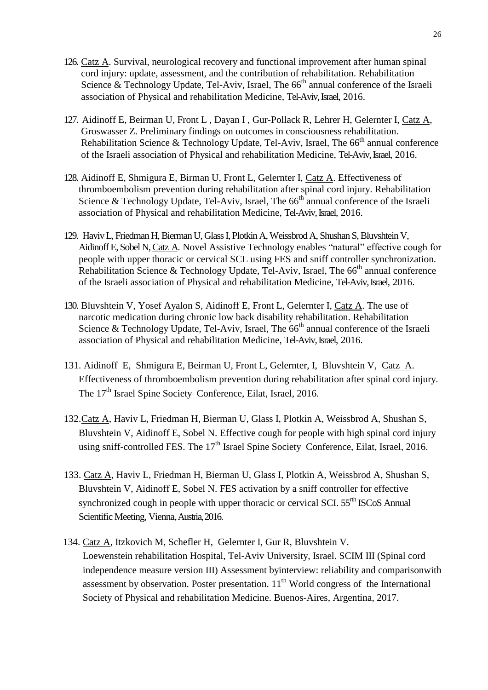- 126. Catz A. Survival, neurological recovery and functional improvement after human spinal cord injury: update, assessment, and the contribution of rehabilitation. Rehabilitation Science & Technology Update, Tel-Aviv, Israel, The  $66<sup>th</sup>$  annual conference of the Israeli association of Physical and rehabilitation Medicine, Tel-Aviv, Israel, 2016.
- 127. Aidinoff E, Beirman U, Front L , Dayan I , Gur-Pollack R, Lehrer H, Gelernter I, Catz A, Groswasser Z. Preliminary findings on outcomes in consciousness rehabilitation. Rehabilitation Science & Technology Update, Tel-Aviv, Israel, The  $66<sup>th</sup>$  annual conference of the Israeli association of Physical and rehabilitation Medicine, Tel-Aviv, Israel, 2016.
- 128. Aidinoff E, Shmigura E, Birman U, Front L, Gelernter I, Catz A. Effectiveness of thromboembolism prevention during rehabilitation after spinal cord injury. Rehabilitation Science & Technology Update, Tel-Aviv, Israel, The  $66<sup>th</sup>$  annual conference of the Israeli association of Physical and rehabilitation Medicine, Tel-Aviv, Israel, 2016.
- 129. Haviv L, Friedman H, Bierman U, Glass I, Plotkin A, Weissbrod A, Shushan S, Bluvshtein V, Aidinoff E, Sobel N, Catz A. Novel Assistive Technology enables "natural" effective cough for people with upper thoracic or cervical SCL using FES and sniff controller synchronization. Rehabilitation Science & Technology Update, Tel-Aviv, Israel, The  $66<sup>th</sup>$  annual conference of the Israeli association of Physical and rehabilitation Medicine, Tel-Aviv, Israel, 2016.
- 130. Bluvshtein V, Yosef Ayalon S, Aidinoff E, Front L, Gelernter I, Catz A. The use of narcotic medication during chronic low back disability rehabilitation. Rehabilitation Science & Technology Update, Tel-Aviv, Israel, The  $66<sup>th</sup>$  annual conference of the Israeli association of Physical and rehabilitation Medicine, Tel-Aviv, Israel, 2016.
- 131. Aidinoff E, Shmigura E, Beirman U, Front L, Gelernter, I, Bluvshtein V, Catz A. Effectiveness of thromboembolism prevention during rehabilitation after spinal cord injury. The 17<sup>th</sup> Israel Spine Society Conference, Eilat, Israel, 2016.
- 132.Catz A, Haviv L, Friedman H, Bierman U, Glass I, Plotkin A, Weissbrod A, Shushan S, Bluvshtein V, Aidinoff E, Sobel N. Effective cough for people with high spinal cord injury using sniff-controlled FES. The  $17<sup>th</sup>$  Israel Spine Society Conference, Eilat, Israel, 2016.
- 133. Catz A, Haviv L, Friedman H, Bierman U, Glass I, Plotkin A, Weissbrod A, Shushan S, Bluvshtein V, Aidinoff E, Sobel N. FES activation by a sniff controller for effective synchronized cough in people with upper thoracic or cervical SCI. 55<sup>rth</sup> ISCoS Annual Scientific Meeting, Vienna, Austria, 2016.
- 134. Catz A, Itzkovich M, Schefler H, Gelernter I, Gur R, Bluvshtein V. Loewenstein rehabilitation Hospital, Tel-Aviv University, Israel. SCIM III (Spinal cord independence measure version III) Assessment byinterview: reliability and comparisonwith assessment by observation. Poster presentation.  $11<sup>th</sup>$  World congress of the International Society of Physical and rehabilitation Medicine. Buenos-Aires, Argentina, 2017.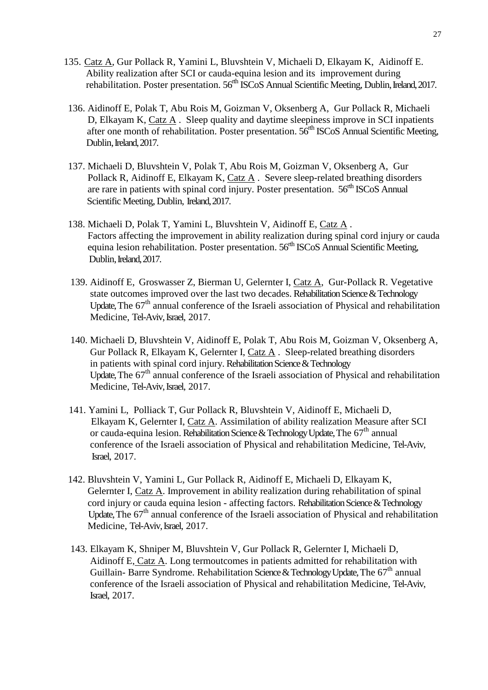- 135. Catz A, Gur Pollack R, Yamini L, Bluvshtein V, Michaeli D, Elkayam K, Aidinoff E. Ability realization after SCI or cauda-equina lesion and its improvement during rehabilitation. Poster presentation. 56<sup>rth</sup> ISCoS Annual Scientific Meeting, Dublin, Ireland, 2017.
- 136. Aidinoff E, Polak T, Abu Rois M, Goizman V, Oksenberg A, Gur Pollack R, Michaeli D, Elkayam K, Catz A . Sleep quality and daytime sleepiness improve in SCI inpatients after one month of rehabilitation. Poster presentation. 56rth ISCoS Annual Scientific Meeting, Dublin, Ireland, 2017.
- 137. Michaeli D, Bluvshtein V, Polak T, Abu Rois M, Goizman V, Oksenberg A, Gur Pollack R, Aidinoff E, Elkayam K, Catz A . Severe sleep-related breathing disorders are rare in patients with spinal cord injury. Poster presentation.  $56<sup>th</sup>$  ISCoS Annual Scientific Meeting, Dublin, Ireland, 2017.
- 138. Michaeli D, Polak T, Yamini L, Bluvshtein V, Aidinoff E, Catz A . Factors affecting the improvement in ability realization during spinal cord injury or cauda equina lesion rehabilitation. Poster presentation.  $56<sup>th</sup>$  ISCoS Annual Scientific Meeting, Dublin, Ireland, 2017.
- 139. Aidinoff E, Groswasser Z, Bierman U, Gelernter I, Catz A, Gur-Pollack R. Vegetative state outcomes improved over the last two decades. Rehabilitation Science & Technology Update, The 67<sup>th</sup> annual conference of the Israeli association of Physical and rehabilitation Medicine, Tel-Aviv, Israel, 2017.
- 140. Michaeli D, Bluvshtein V, Aidinoff E, Polak T, Abu Rois M, Goizman V, Oksenberg A, Gur Pollack R, Elkayam K, Gelernter I, Catz A. Sleep-related breathing disorders in patients with spinal cord injury. Rehabilitation Science & Technology Update, The 67<sup>th</sup> annual conference of the Israeli association of Physical and rehabilitation Medicine, Tel-Aviv, Israel, 2017.
- 141. Yamini L, Polliack T, Gur Pollack R, Bluvshtein V, Aidinoff E, Michaeli D, Elkayam K, Gelernter I, Catz A. Assimilation of ability realization Measure after SCI or cauda-equina lesion. Rehabilitation Science & Technology Update, The 67<sup>th</sup> annual conference of the Israeli association of Physical and rehabilitation Medicine, Tel-Aviv, Israel, 2017.
- 142. Bluvshtein V, Yamini L, Gur Pollack R, Aidinoff E, Michaeli D, Elkayam K, Gelernter I, Catz A. Improvement in ability realization during rehabilitation of spinal cord injury or cauda equina lesion - affecting factors. Rehabilitation Science & Technology Update, The 67<sup>th</sup> annual conference of the Israeli association of Physical and rehabilitation Medicine, Tel-Aviv, Israel, 2017.
- 143. Elkayam K, Shniper M, Bluvshtein V, Gur Pollack R, Gelernter I, Michaeli D, Aidinoff E, Catz A. Long termoutcomes in patients admitted for rehabilitation with Guillain-Barre Syndrome. Rehabilitation Science & Technology Update, The  $67<sup>th</sup>$  annual conference of the Israeli association of Physical and rehabilitation Medicine, Tel-Aviv, Israel, 2017.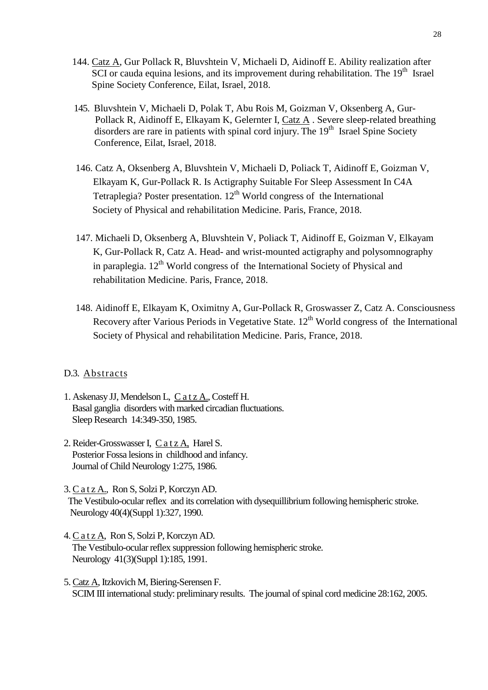- 144. Catz A, Gur Pollack R, Bluvshtein V, Michaeli D, Aidinoff E. Ability realization after SCI or cauda equina lesions, and its improvement during rehabilitation. The  $19<sup>th</sup>$  Israel Spine Society Conference, Eilat, Israel, 2018.
- 145. Bluvshtein V, Michaeli D, Polak T, Abu Rois M, Goizman V, Oksenberg A, Gur- Pollack R, Aidinoff E, Elkayam K, Gelernter I, Catz A . Severe sleep-related breathing disorders are rare in patients with spinal cord injury. The 19<sup>th</sup> Israel Spine Society Conference, Eilat, Israel, 2018.
	- 146. Catz A, Oksenberg A, Bluvshtein V, Michaeli D, Poliack T, Aidinoff E, Goizman V, Elkayam K, Gur-Pollack R. Is Actigraphy Suitable For Sleep Assessment In C4A Tetraplegia? Poster presentation.  $12<sup>th</sup>$  World congress of the International Society of Physical and rehabilitation Medicine. Paris, France, 2018.
	- 147. Michaeli D, Oksenberg A, Bluvshtein V, Poliack T, Aidinoff E, Goizman V, Elkayam K, Gur-Pollack R, Catz A. Head- and wrist-mounted actigraphy and polysomnography in paraplegia.  $12<sup>th</sup>$  World congress of the International Society of Physical and rehabilitation Medicine. Paris, France, 2018.
	- 148. Aidinoff E, Elkayam K, Oximitny A, Gur-Pollack R, Groswasser Z, Catz A. Consciousness Recovery after Various Periods in Vegetative State.  $12<sup>th</sup>$  World congress of the International Society of Physical and rehabilitation Medicine. Paris, France, 2018.

### D.3. Abstracts

- 1. Askenasy JJ, Mendelson L, C a t z A., Costeff H. Basal ganglia disorders with marked circadian fluctuations. Sleep Research 14:349-350, 1985.
- 2. Reider-Grosswasser I, C a t z A, Harel S. Posterior Fossa lesions in childhood and infancy. Journal of Child Neurology 1:275, 1986.
- 3. C a t z A., Ron S, Solzi P, Korczyn AD. The Vestibulo-ocular reflex and its correlation with dysequillibrium following hemispheric stroke. Neurology 40(4)(Suppl 1):327, 1990.
- 4. C a t z A, Ron S, Solzi P, Korczyn AD. The Vestibulo-ocular reflex suppression following hemispheric stroke. Neurology 41(3)(Suppl 1):185, 1991.
- 5. Catz A, Itzkovich M, Biering-Serensen F. SCIM III international study: preliminary results. The journal of spinal cord medicine  $28:162, 2005$ .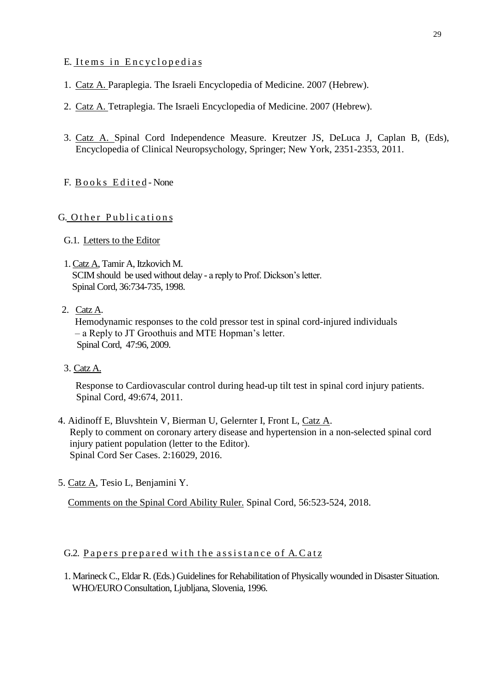# E. Items in Encyclopedias

- 1. Catz A. Paraplegia. The Israeli Encyclopedia of Medicine. 2007 (Hebrew).
- 2. Catz A. Tetraplegia. The Israeli Encyclopedia of Medicine. 2007 (Hebrew).
- 3. Catz A. Spinal Cord Independence Measure. [Kreutzer](http://www.springerlink.com/content/?Editor=Jeffrey+S.+Kreutzer) JS, [DeLuca](http://www.springerlink.com/content/?Editor=John+DeLuca) J, [Caplan](http://www.springerlink.com/content/?Editor=Bruce+Caplan) B, (Eds), Encyclopedia of Clinical Neuropsychology, Springer; New York, 2351-2353, 2011.
- F. Books Edited-None

# G. Other Publications

- G.1. Letters to the Editor
- 1. Catz A, Tamir A, Itzkovich M.

 SCIM should be used without delay - a reply to Prof. Dickson's letter. Spinal Cord, 36:734-735, 1998.

# 2. Catz A.

 Hemodynamic responses to the cold pressor test in spinal cord-injured individuals – a Reply to JT Groothuis and MTE Hopman's letter. Spinal Cord, 47:96, 2009.

3. Catz A.

[Response to Cardiovascular control during head-up tilt test in spinal cord injury patients.](http://www.ncbi.nlm.nih.gov/pubmed/21042328) Spinal Cord, 49:674, 2011.

- 4. Aidinoff E, Bluvshtein V, Bierman U, Gelernter I, Front L, Catz A. [Reply to comment on coronary artery disease and hypertension in a non-selected spinal cord](https://www.ncbi.nlm.nih.gov/pubmed/28053770)  [injury patient population \(letter to the Editor\).](https://www.ncbi.nlm.nih.gov/pubmed/28053770) Spinal Cord Ser Cases. 2:16029, 2016.
- 5. Catz A, Tesio L, Benjamini Y.

[Comments on the Spinal Cord Ability Ruler.](https://www.ncbi.nlm.nih.gov/pubmed/29386659) Spinal Cord, 56:523-524, 2018.

# G.2. Papers prepared with the assistance of A. Catz

1. Marineck C., Eldar R. (Eds.) Guidelines for Rehabilitation of Physically wounded in Disaster Situation. WHO/EURO Consultation, Ljubljana, Slovenia, 1996.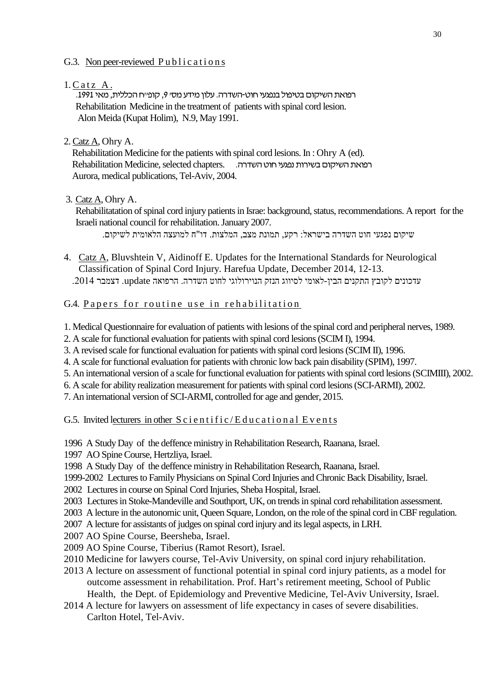### G.3. Non peer-reviewed  $Publications$

 $1.CatzA.$ 

רפואת השיקום בטיפול בנפגעי חוט-השדרה. עלון מידע מס׳ 9, קופ׳יח הכללית, מאי 1991. Rehabilitation Medicine in the treatment of patients with spinal cord lesion. Alon Meida (Kupat Holim), N.9, May 1991.

2. Catz A, Ohry A.

 Rehabilitation Medicine for the patients with spinal cord lesions. In : Ohry A (ed). רפואת השיקום בשירות נפגעי חוט השדרה. .chapters selected ,Medicine Rehabilitation Aurora, medical publications, Tel-Aviv, 2004.

3. Catz A, Ohry A.

Rehabilitatation of spinal cord injury patients in Israe: background, status, recommendations. A report for the Israeli national council for rehabilitation. January 2007.

שיקום נפגעי חוט השדרה בישראל: רקע, תמונת מצב, המלצות. דו"ח למועצה הלאומית לשיקום.

- 4. Catz A, Bluvshtein V, Aidinoff E. Updates for the International Standards for Neurological Classification of Spinal Cord Injury. Harefua Update, December 2014, 12-13. עדכונים לקובץ התקנים הבין-לאומי לסיווג הנזק הנוירולוגי לחוט השדרה. הרפואה update. דצמבר .2014
- G.4. Papers for routine use in rehabilitation

1. Medical Questionnaire for evaluation of patients with lesions of the spinal cord and peripheral nerves, 1989.

2. A scale for functional evaluation for patients with spinal cord lesions (SCIM I), 1994.

3. A revised scale for functional evaluation for patients with spinal cord lesions (SCIM II), 1996.

4. A scale for functional evaluation for patients with chronic low back pain disability (SPIM), 1997.

5. An international version of a scale for functional evaluation for patients with spinal cord lesions (SCIMIII), 2002.

6. A scale for ability realization measurement for patients with spinal cord lesions (SCI-ARMI), 2002.

7. An international version of SCI-ARMI, controlled for age and gender, 2015.

G.5. Invited lecturers in other  $S$  c i e n t i f i c / E d u c a t i o n a l E v e n t s

1996 A Study Day of the deffence ministry in Rehabilitation Research, Raanana, Israel.

1997 AO Spine Course, Hertzliya, Israel.

1998 A Study Day of the deffence ministry in Rehabilitation Research, Raanana, Israel.

1999-2002 Lectures to Family Physicians on Spinal Cord Injuries and Chronic Back Disability, Israel.

2002 Lectures in course on Spinal Cord Injuries, Sheba Hospital, Israel.

2003 Lectures in Stoke-Mandeville and Southport, UK, on trends in spinal cord rehabilitation assessment.

2003 A lecture in the autonomic unit, Queen Square, London, on the role of the spinal cord in CBF regulation.

2007 A lecture for assistants of judges on spinal cord injury and its legal aspects, in LRH.

2007 AO Spine Course, Beersheba, Israel.

2009 AO Spine Course, Tiberius (Ramot Resort), Israel.

- 2010 Medicine for lawyers course, Tel-Aviv University, on spinal cord injury rehabilitation.
- 2013 A lecture on assessment of functional potential in spinal cord injury patients, as a model for outcome assessment in rehabilitation. Prof. Hart's retirement meeting, School of Public Health, the Dept. of Epidemiology and Preventive Medicine, Tel-Aviv University, Israel.
- 2014 A lecture for lawyers on assessment of life expectancy in cases of severe disabilities. Carlton Hotel, Tel-Aviv.